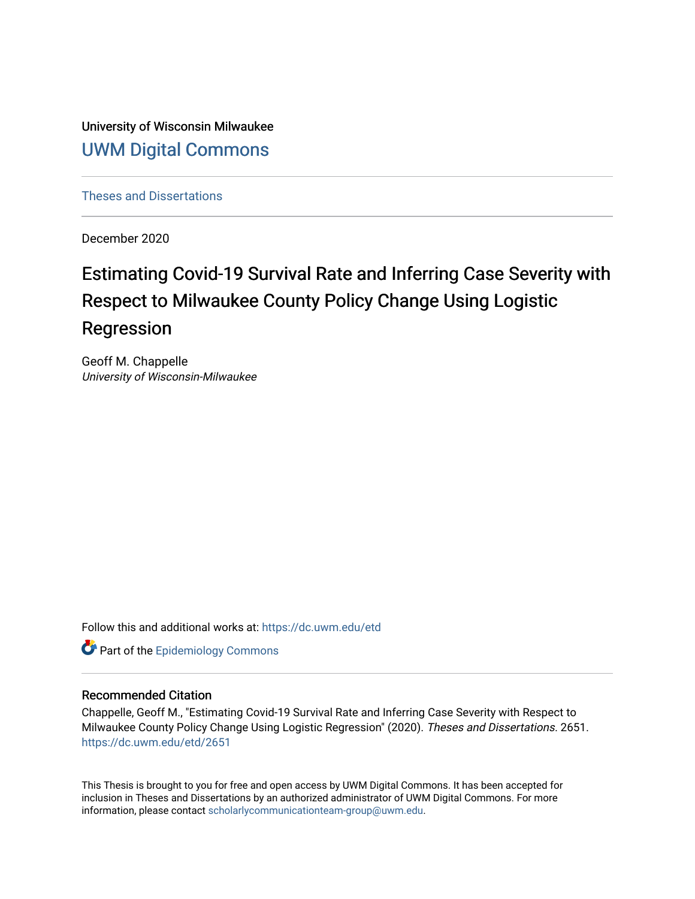University of Wisconsin Milwaukee [UWM Digital Commons](https://dc.uwm.edu/)

[Theses and Dissertations](https://dc.uwm.edu/etd)

December 2020

# Estimating Covid-19 Survival Rate and Inferring Case Severity with Respect to Milwaukee County Policy Change Using Logistic Regression

Geoff M. Chappelle University of Wisconsin-Milwaukee

Follow this and additional works at: [https://dc.uwm.edu/etd](https://dc.uwm.edu/etd?utm_source=dc.uwm.edu%2Fetd%2F2651&utm_medium=PDF&utm_campaign=PDFCoverPages) 

**Part of the Epidemiology Commons** 

# Recommended Citation

Chappelle, Geoff M., "Estimating Covid-19 Survival Rate and Inferring Case Severity with Respect to Milwaukee County Policy Change Using Logistic Regression" (2020). Theses and Dissertations. 2651. [https://dc.uwm.edu/etd/2651](https://dc.uwm.edu/etd/2651?utm_source=dc.uwm.edu%2Fetd%2F2651&utm_medium=PDF&utm_campaign=PDFCoverPages) 

This Thesis is brought to you for free and open access by UWM Digital Commons. It has been accepted for inclusion in Theses and Dissertations by an authorized administrator of UWM Digital Commons. For more information, please contact [scholarlycommunicationteam-group@uwm.edu](mailto:scholarlycommunicationteam-group@uwm.edu).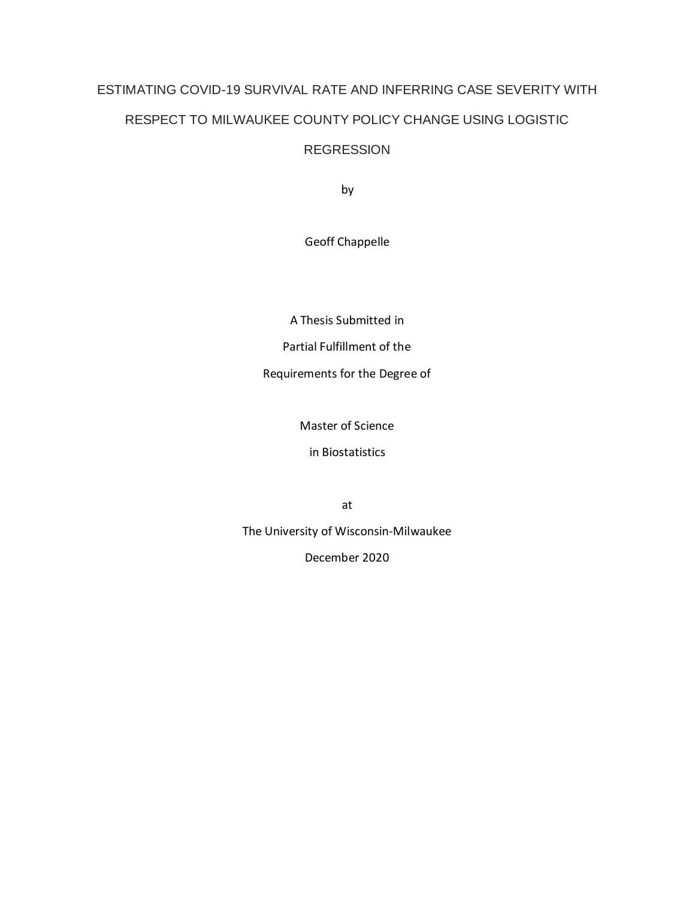# ESTIMATING COVID-19 SURVIVAL RATE AND INFERRING CASE SEVERITY WITH RESPECT TO MILWAUKEE COUNTY POLICY CHANGE USING LOGISTIC REGRESSION

by

Geoff Chappelle

A Thesis Submitted in

Partial Fulfillment of the

Requirements for the Degree of

Master of Science

in Biostatistics

at

The University of Wisconsin-Milwaukee

December 2020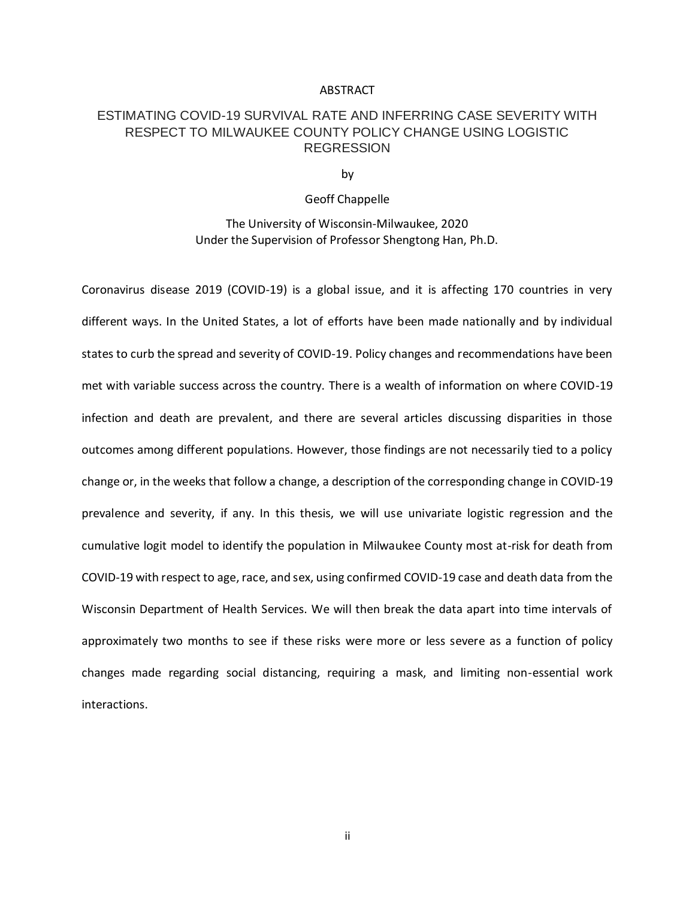#### ABSTRACT

# ESTIMATING COVID-19 SURVIVAL RATE AND INFERRING CASE SEVERITY WITH RESPECT TO MILWAUKEE COUNTY POLICY CHANGE USING LOGISTIC **REGRESSION**

by

# Geoff Chappelle

The University of Wisconsin-Milwaukee, 2020 Under the Supervision of Professor Shengtong Han, Ph.D.

Coronavirus disease 2019 (COVID-19) is a global issue, and it is affecting 170 countries in very different ways. In the United States, a lot of efforts have been made nationally and by individual states to curb the spread and severity of COVID-19. Policy changes and recommendations have been met with variable success across the country. There is a wealth of information on where COVID-19 infection and death are prevalent, and there are several articles discussing disparities in those outcomes among different populations. However, those findings are not necessarily tied to a policy change or, in the weeks that follow a change, a description of the corresponding change in COVID-19 prevalence and severity, if any. In this thesis, we will use univariate logistic regression and the cumulative logit model to identify the population in Milwaukee County most at-risk for death from COVID-19 with respect to age, race, and sex, using confirmed COVID-19 case and death data from the Wisconsin Department of Health Services. We will then break the data apart into time intervals of approximately two months to see if these risks were more or less severe as a function of policy changes made regarding social distancing, requiring a mask, and limiting non-essential work interactions.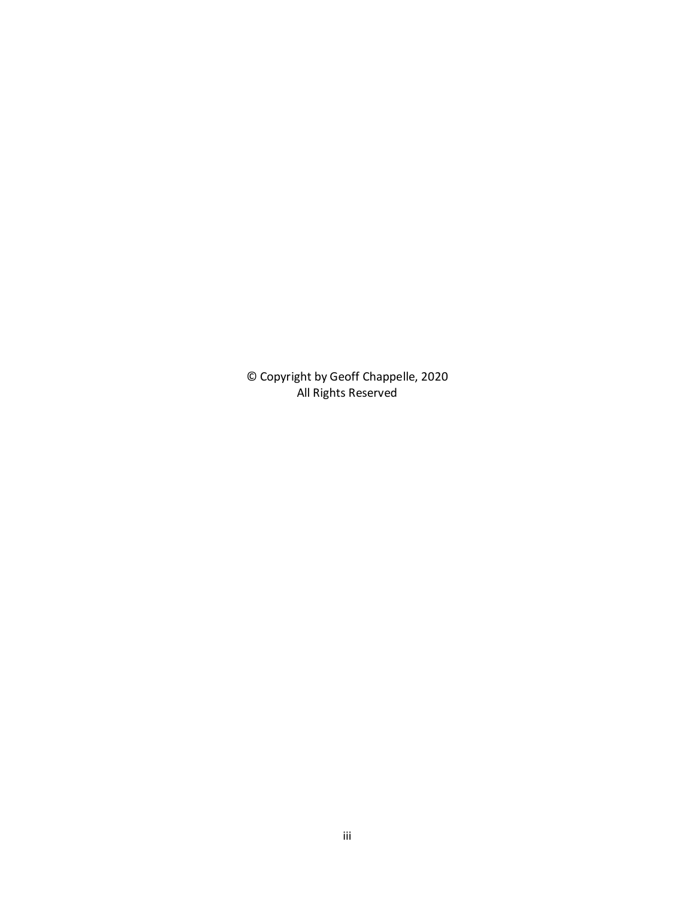© Copyright by Geoff Chappelle, 2020 All Rights Reserved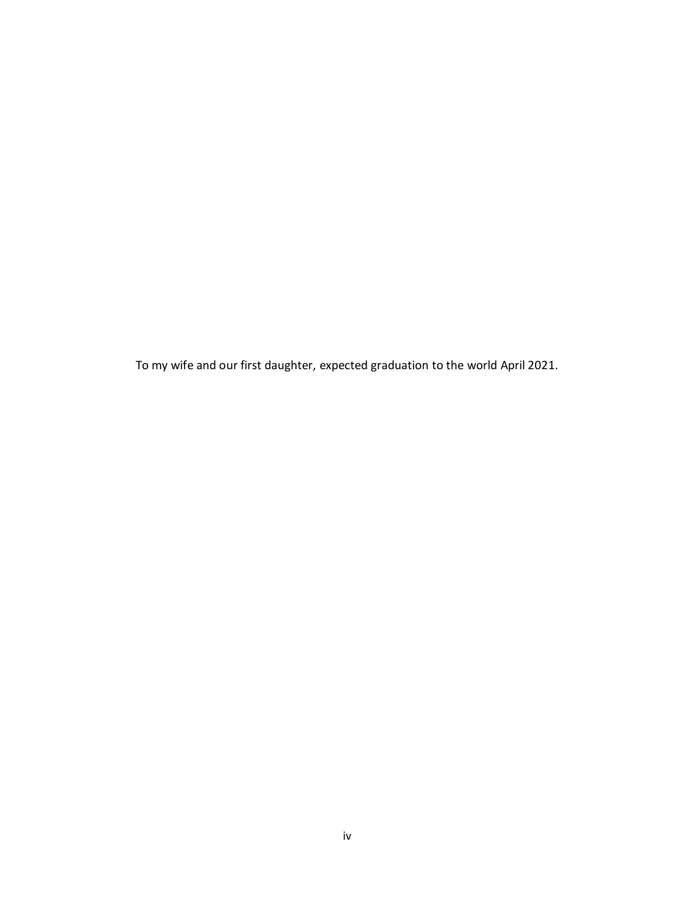To my wife and our first daughter, expected graduation to the world April 2021.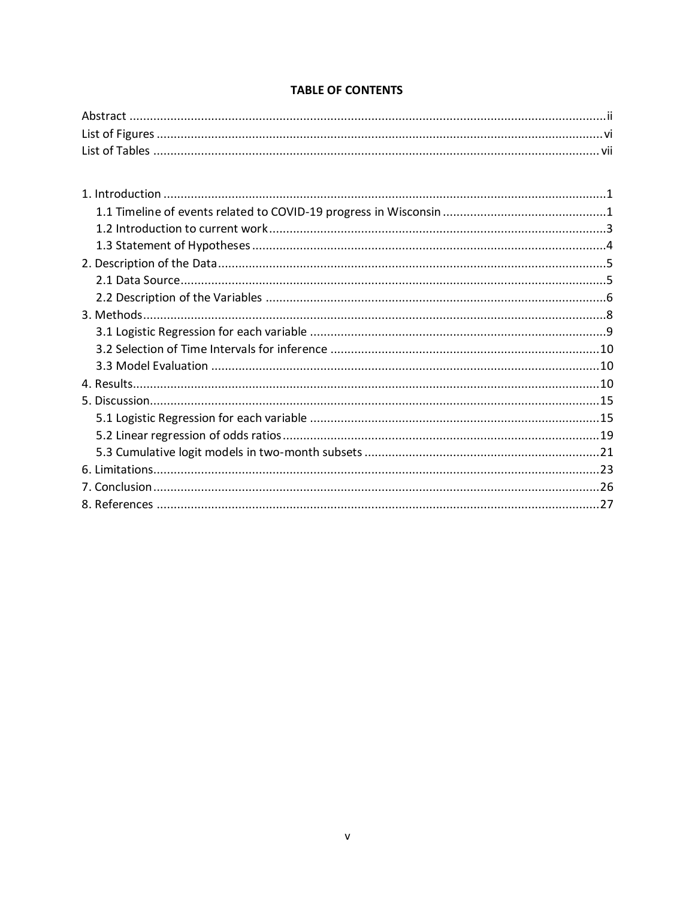# **TABLE OF CONTENTS**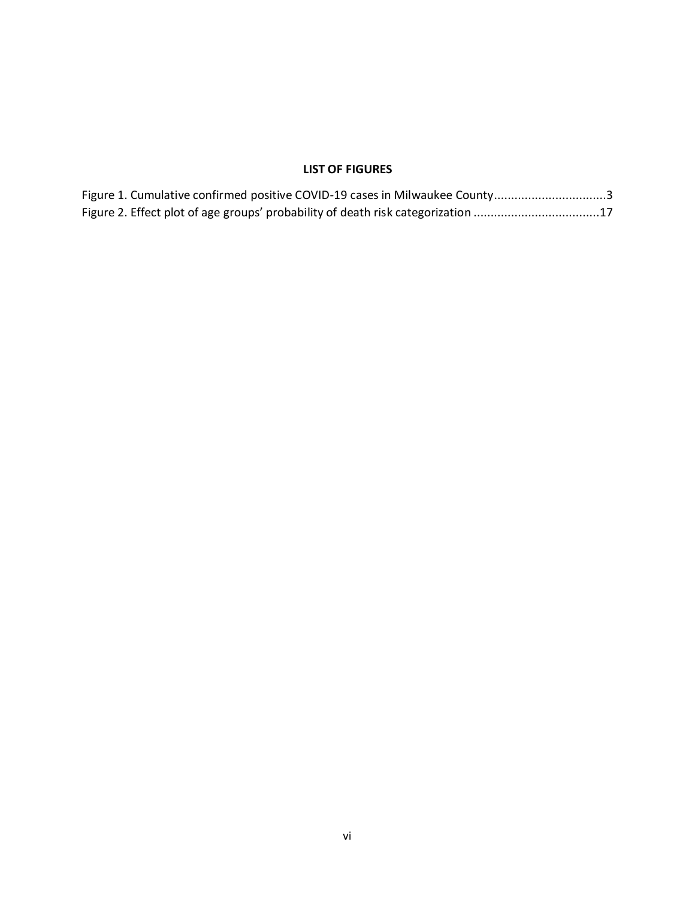# **LIST OF FIGURES**

| Figure 1. Cumulative confirmed positive COVID-19 cases in Milwaukee County3      |  |
|----------------------------------------------------------------------------------|--|
| Figure 2. Effect plot of age groups' probability of death risk categorization 17 |  |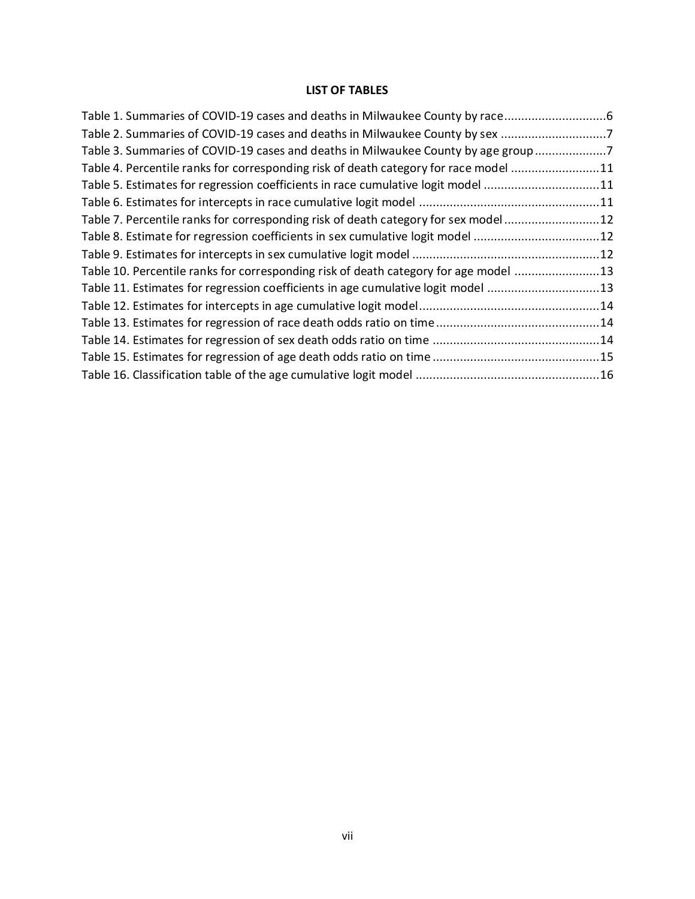# **LIST OF TABLES**

| Table 1. Summaries of COVID-19 cases and deaths in Milwaukee County by race          |  |
|--------------------------------------------------------------------------------------|--|
| Table 2. Summaries of COVID-19 cases and deaths in Milwaukee County by sex 7         |  |
| Table 3. Summaries of COVID-19 cases and deaths in Milwaukee County by age group 7   |  |
| Table 4. Percentile ranks for corresponding risk of death category for race model 11 |  |
| Table 5. Estimates for regression coefficients in race cumulative logit model 11     |  |
|                                                                                      |  |
| Table 7. Percentile ranks for corresponding risk of death category for sex model 12  |  |
| Table 8. Estimate for regression coefficients in sex cumulative logit model 12       |  |
|                                                                                      |  |
| Table 10. Percentile ranks for corresponding risk of death category for age model 13 |  |
| Table 11. Estimates for regression coefficients in age cumulative logit model 13     |  |
|                                                                                      |  |
|                                                                                      |  |
|                                                                                      |  |
|                                                                                      |  |
|                                                                                      |  |
|                                                                                      |  |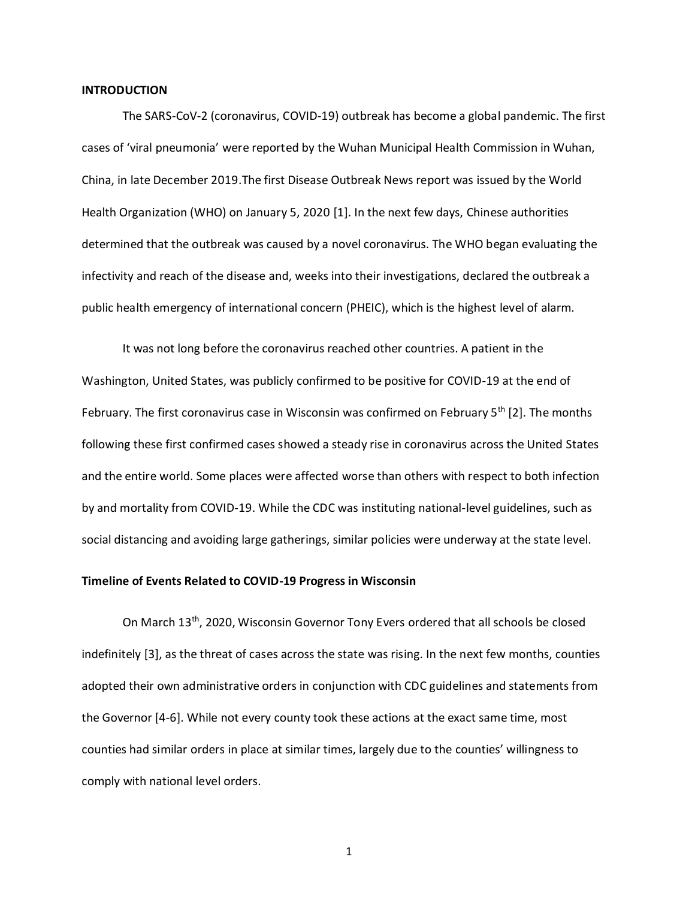#### **INTRODUCTION**

The SARS-CoV-2 (coronavirus, COVID-19) outbreak has become a global pandemic. The first cases of 'viral pneumonia' were reported by the Wuhan Municipal Health Commission in Wuhan, China, in late December 2019.The first Disease Outbreak News report was issued by the World Health Organization (WHO) on January 5, 2020 [1]. In the next few days, Chinese authorities determined that the outbreak was caused by a novel coronavirus. The WHO began evaluating the infectivity and reach of the disease and, weeks into their investigations, declared the outbreak a public health emergency of international concern (PHEIC), which is the highest level of alarm.

It was not long before the coronavirus reached other countries. A patient in the Washington, United States, was publicly confirmed to be positive for COVID-19 at the end of February. The first coronavirus case in Wisconsin was confirmed on February  $5<sup>th</sup>$  [2]. The months following these first confirmed cases showed a steady rise in coronavirus across the United States and the entire world. Some places were affected worse than others with respect to both infection by and mortality from COVID-19. While the CDC was instituting national-level guidelines, such as social distancing and avoiding large gatherings, similar policies were underway at the state level.

# **Timeline of Events Related to COVID-19 Progress in Wisconsin**

On March 13<sup>th</sup>, 2020, Wisconsin Governor Tony Evers ordered that all schools be closed indefinitely [3], as the threat of cases across the state was rising. In the next few months, counties adopted their own administrative orders in conjunction with CDC guidelines and statements from the Governor [4-6]. While not every county took these actions at the exact same time, most counties had similar orders in place at similar times, largely due to the counties' willingness to comply with national level orders.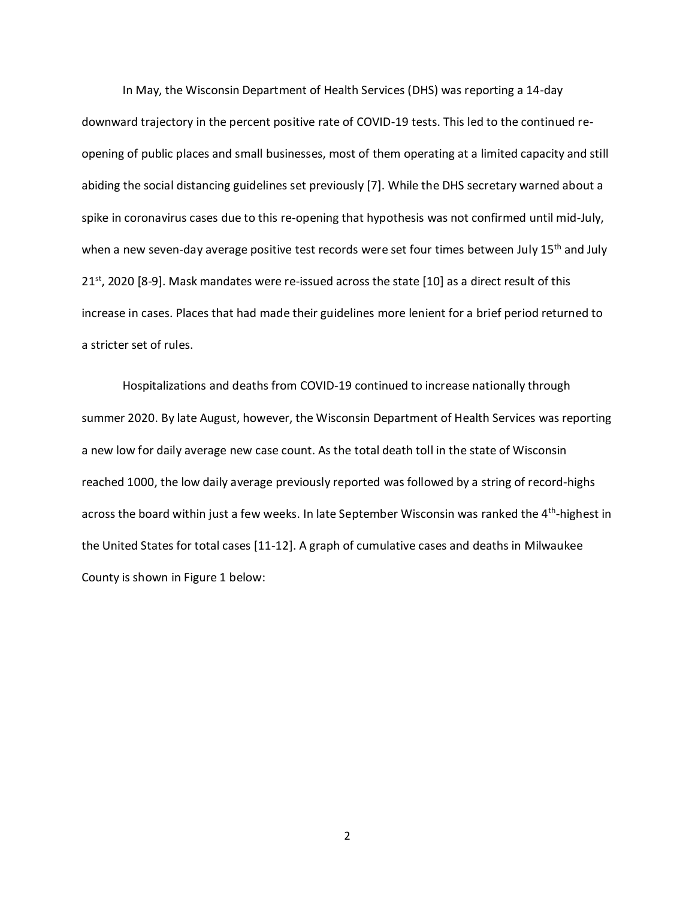In May, the Wisconsin Department of Health Services (DHS) was reporting a 14-day downward trajectory in the percent positive rate of COVID-19 tests. This led to the continued reopening of public places and small businesses, most of them operating at a limited capacity and still abiding the social distancing guidelines set previously [7]. While the DHS secretary warned about a spike in coronavirus cases due to this re-opening that hypothesis was not confirmed until mid-July, when a new seven-day average positive test records were set four times between July 15<sup>th</sup> and July  $21<sup>st</sup>$ , 2020 [8-9]. Mask mandates were re-issued across the state [10] as a direct result of this increase in cases. Places that had made their guidelines more lenient for a brief period returned to a stricter set of rules.

Hospitalizations and deaths from COVID-19 continued to increase nationally through summer 2020. By late August, however, the Wisconsin Department of Health Services was reporting a new low for daily average new case count. As the total death toll in the state of Wisconsin reached 1000, the low daily average previously reported was followed by a string of record-highs across the board within just a few weeks. In late September Wisconsin was ranked the 4<sup>th</sup>-highest in the United States for total cases [11-12]. A graph of cumulative cases and deaths in Milwaukee County is shown in Figure 1 below: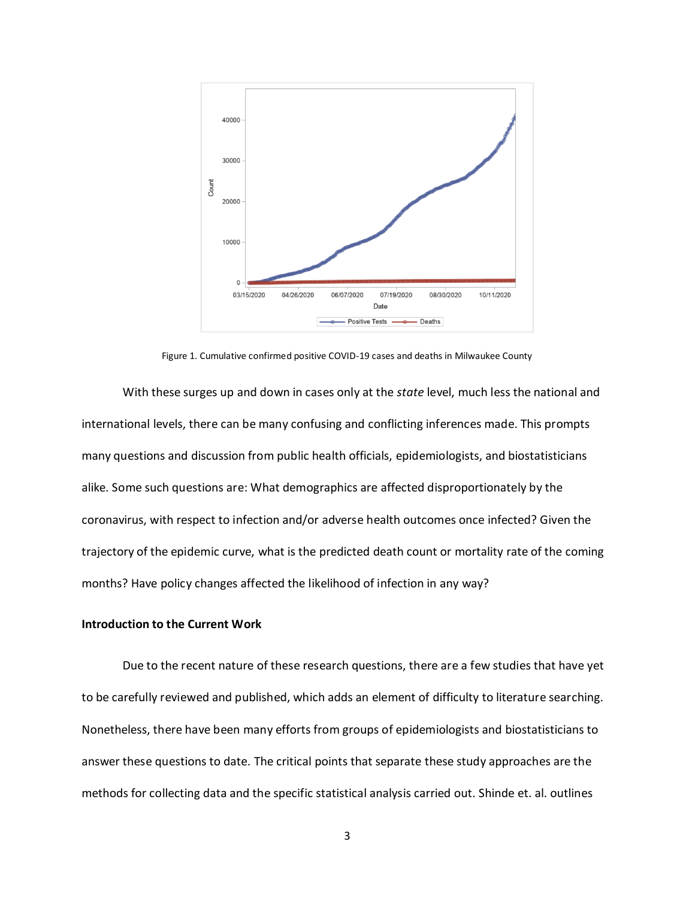

Figure 1. Cumulative confirmed positive COVID-19 cases and deaths in Milwaukee County

With these surges up and down in cases only at the *state* level, much less the national and international levels, there can be many confusing and conflicting inferences made. This prompts many questions and discussion from public health officials, epidemiologists, and biostatisticians alike. Some such questions are: What demographics are affected disproportionately by the coronavirus, with respect to infection and/or adverse health outcomes once infected? Given the trajectory of the epidemic curve, what is the predicted death count or mortality rate of the coming months? Have policy changes affected the likelihood of infection in any way?

# **Introduction to the Current Work**

Due to the recent nature of these research questions, there are a few studies that have yet to be carefully reviewed and published, which adds an element of difficulty to literature searching. Nonetheless, there have been many efforts from groups of epidemiologists and biostatisticians to answer these questions to date. The critical points that separate these study approaches are the methods for collecting data and the specific statistical analysis carried out. Shinde et. al. outlines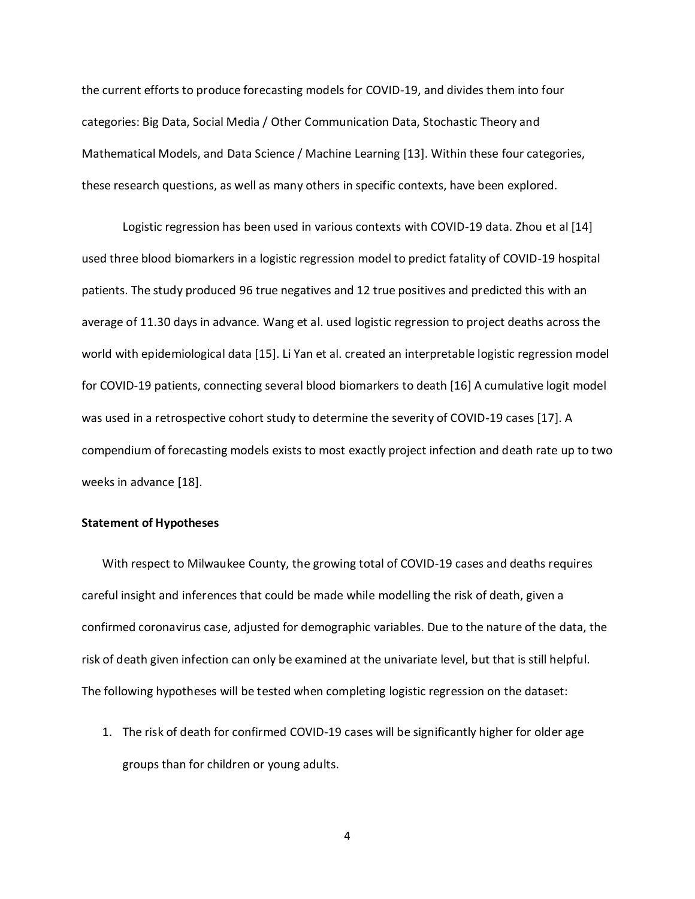the current efforts to produce forecasting models for COVID-19, and divides them into four categories: Big Data, Social Media / Other Communication Data, Stochastic Theory and Mathematical Models, and Data Science / Machine Learning [13]. Within these four categories, these research questions, as well as many others in specific contexts, have been explored.

Logistic regression has been used in various contexts with COVID-19 data. Zhou et al [14] used three blood biomarkers in a logistic regression model to predict fatality of COVID-19 hospital patients. The study produced 96 true negatives and 12 true positives and predicted this with an average of 11.30 days in advance. Wang et al. used logistic regression to project deaths across the world with epidemiological data [15]. Li Yan et al. created an interpretable logistic regression model for COVID-19 patients, connecting several blood biomarkers to death [16] A cumulative logit model was used in a retrospective cohort study to determine the severity of COVID-19 cases [17]. A compendium of forecasting models exists to most exactly project infection and death rate up to two weeks in advance [18].

# **Statement of Hypotheses**

With respect to Milwaukee County, the growing total of COVID-19 cases and deaths requires careful insight and inferences that could be made while modelling the risk of death, given a confirmed coronavirus case, adjusted for demographic variables. Due to the nature of the data, the risk of death given infection can only be examined at the univariate level, but that is still helpful. The following hypotheses will be tested when completing logistic regression on the dataset:

1. The risk of death for confirmed COVID-19 cases will be significantly higher for older age groups than for children or young adults.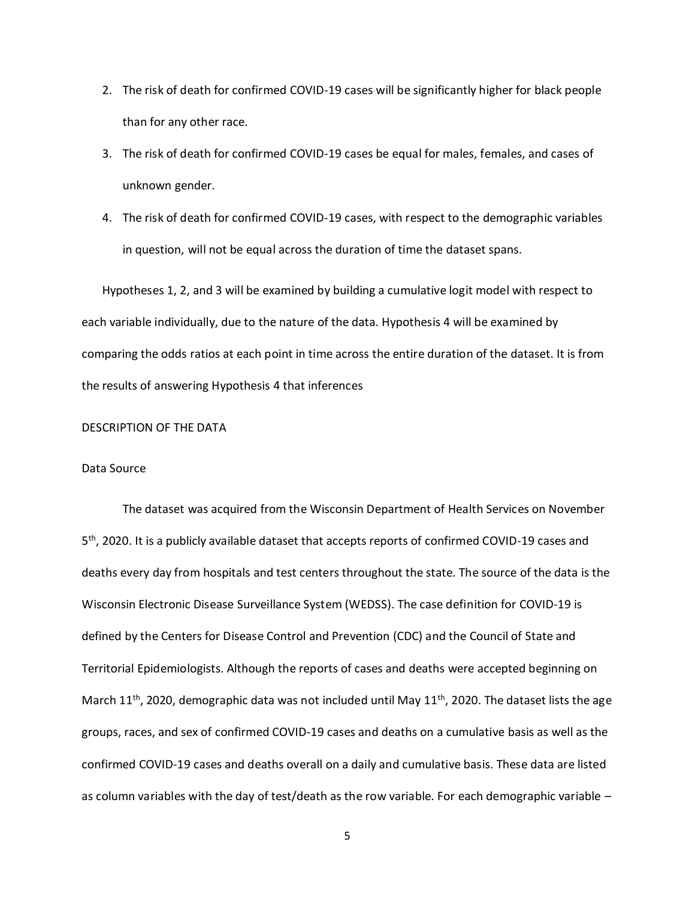- 2. The risk of death for confirmed COVID-19 cases will be significantly higher for black people than for any other race.
- 3. The risk of death for confirmed COVID-19 cases be equal for males, females, and cases of unknown gender.
- 4. The risk of death for confirmed COVID-19 cases, with respect to the demographic variables in question, will not be equal across the duration of time the dataset spans.

Hypotheses 1, 2, and 3 will be examined by building a cumulative logit model with respect to each variable individually, due to the nature of the data. Hypothesis 4 will be examined by comparing the odds ratios at each point in time across the entire duration of the dataset. It is from the results of answering Hypothesis 4 that inferences

#### DESCRIPTION OF THE DATA

# Data Source

The dataset was acquired from the Wisconsin Department of Health Services on November 5<sup>th</sup>, 2020. It is a publicly available dataset that accepts reports of confirmed COVID-19 cases and deaths every day from hospitals and test centers throughout the state. The source of the data is the Wisconsin Electronic Disease Surveillance System (WEDSS). The case definition for COVID-19 is defined by the Centers for Disease Control and Prevention (CDC) and the Council of State and Territorial Epidemiologists. Although the reports of cases and deaths were accepted beginning on March 11<sup>th</sup>, 2020, demographic data was not included until May 11<sup>th</sup>, 2020. The dataset lists the age groups, races, and sex of confirmed COVID-19 cases and deaths on a cumulative basis as well as the confirmed COVID-19 cases and deaths overall on a daily and cumulative basis. These data are listed as column variables with the day of test/death as the row variable. For each demographic variable –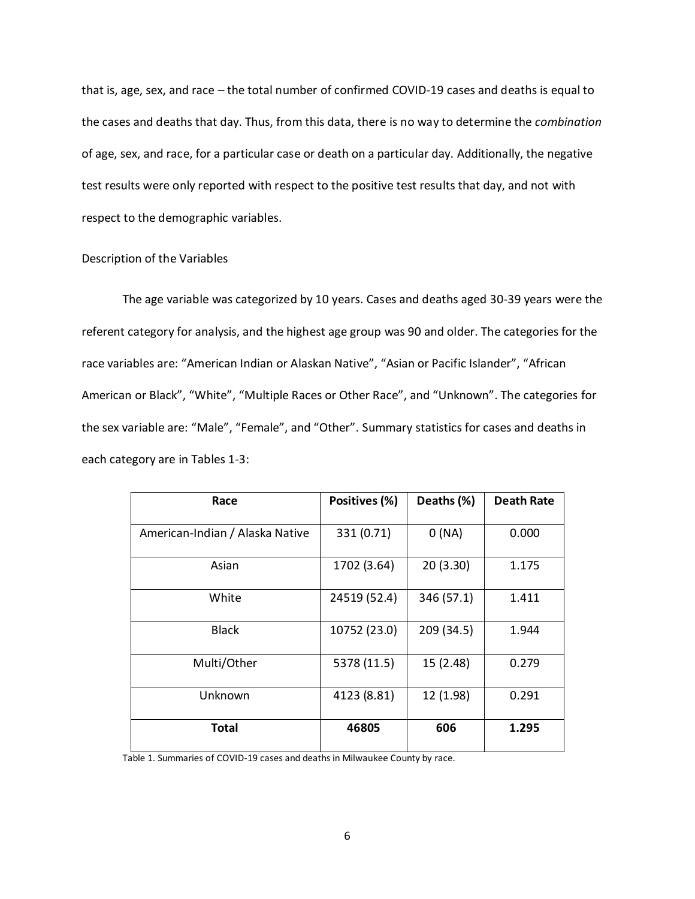that is, age, sex, and race – the total number of confirmed COVID-19 cases and deaths is equal to the cases and deaths that day. Thus, from this data, there is no way to determine the *combination* of age, sex, and race, for a particular case or death on a particular day. Additionally, the negative test results were only reported with respect to the positive test results that day, and not with respect to the demographic variables.

# Description of the Variables

The age variable was categorized by 10 years. Cases and deaths aged 30-39 years were the referent category for analysis, and the highest age group was 90 and older. The categories for the race variables are: "American Indian or Alaskan Native", "Asian or Pacific Islander", "African American or Black", "White", "Multiple Races or Other Race", and "Unknown". The categories for the sex variable are: "Male", "Female", and "Other". Summary statistics for cases and deaths in each category are in Tables 1-3:

| Race                            | Positives (%) | Deaths (%) | <b>Death Rate</b> |
|---------------------------------|---------------|------------|-------------------|
| American-Indian / Alaska Native | 331 (0.71)    | 0(NA)      | 0.000             |
| Asian                           | 1702 (3.64)   | 20(3.30)   | 1.175             |
| White                           | 24519 (52.4)  | 346 (57.1) | 1.411             |
| <b>Black</b>                    | 10752 (23.0)  | 209 (34.5) | 1.944             |
| Multi/Other                     | 5378 (11.5)   | 15 (2.48)  | 0.279             |
| Unknown                         | 4123 (8.81)   | 12 (1.98)  | 0.291             |
| <b>Total</b>                    | 46805         | 606        | 1.295             |

Table 1. Summaries of COVID-19 cases and deaths in Milwaukee County by race.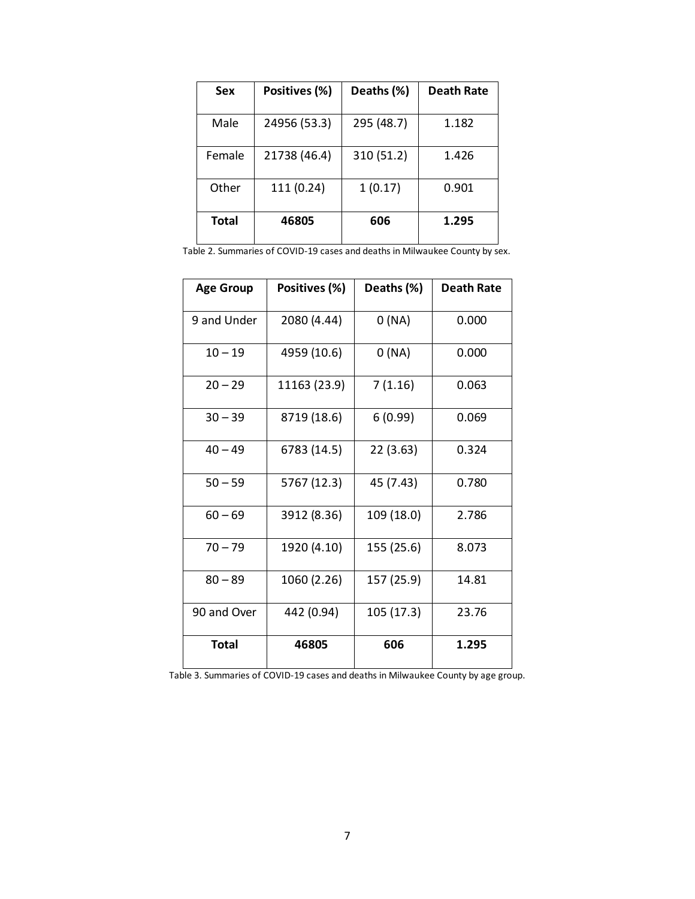| Sex          | Positives (%) | Deaths (%) | <b>Death Rate</b> |
|--------------|---------------|------------|-------------------|
| Male         | 24956 (53.3)  | 295 (48.7) | 1.182             |
|              |               |            |                   |
| Female       | 21738 (46.4)  | 310 (51.2) | 1.426             |
| Other        | 111 (0.24)    | 1(0.17)    | 0.901             |
| <b>Total</b> | 46805         | 606        | 1.295             |

|  | Table 2. Summaries of COVID-19 cases and deaths in Milwaukee County by sex. |  |  |
|--|-----------------------------------------------------------------------------|--|--|
|--|-----------------------------------------------------------------------------|--|--|

| <b>Age Group</b> | Positives (%) | Deaths (%) | Death Rate |
|------------------|---------------|------------|------------|
| 9 and Under      | 2080 (4.44)   | 0(NA)      | 0.000      |
| $10 - 19$        | 4959 (10.6)   | 0(NA)      | 0.000      |
| $20 - 29$        | 11163 (23.9)  | 7(1.16)    | 0.063      |
| $30 - 39$        | 8719 (18.6)   | 6(0.99)    | 0.069      |
| $40 - 49$        | 6783 (14.5)   | 22 (3.63)  | 0.324      |
| $50 - 59$        | 5767 (12.3)   | 45 (7.43)  | 0.780      |
| $60 - 69$        | 3912 (8.36)   | 109 (18.0) | 2.786      |
| $70 - 79$        | 1920 (4.10)   | 155 (25.6) | 8.073      |
| $80 - 89$        | 1060 (2.26)   | 157 (25.9) | 14.81      |
| 90 and Over      | 442 (0.94)    | 105 (17.3) | 23.76      |
| <b>Total</b>     | 46805         | 606        | 1.295      |

Table 3. Summaries of COVID-19 cases and deaths in Milwaukee County by age group.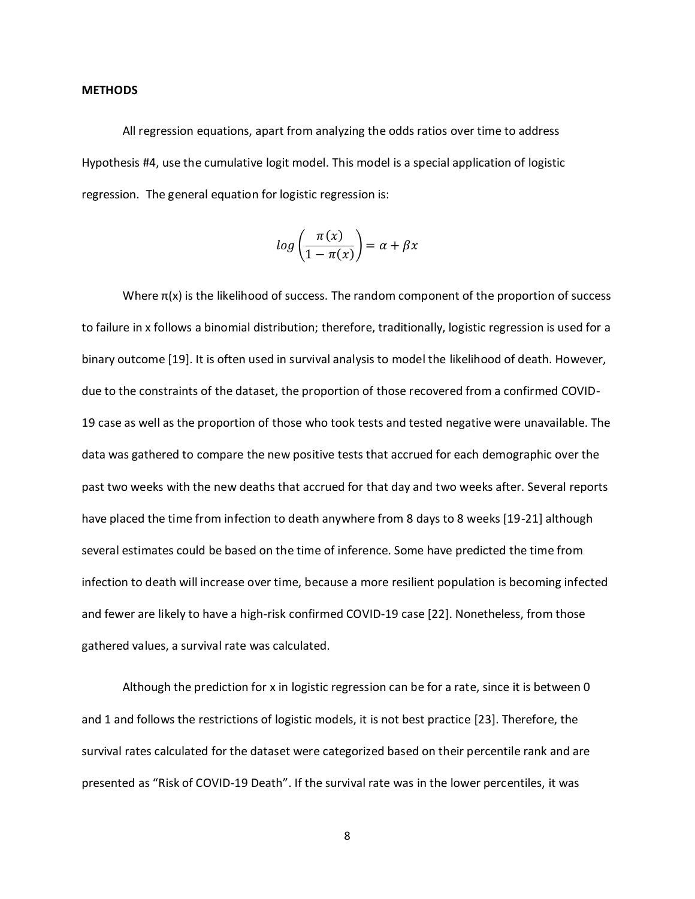#### **METHODS**

All regression equations, apart from analyzing the odds ratios over time to address Hypothesis #4, use the cumulative logit model. This model is a special application of logistic regression. The general equation for logistic regression is:

$$
log\left(\frac{\pi(x)}{1-\pi(x)}\right) = \alpha + \beta x
$$

Where  $\pi(x)$  is the likelihood of success. The random component of the proportion of success to failure in x follows a binomial distribution; therefore, traditionally, logistic regression is used for a binary outcome [19]. It is often used in survival analysis to model the likelihood of death. However, due to the constraints of the dataset, the proportion of those recovered from a confirmed COVID-19 case as well as the proportion of those who took tests and tested negative were unavailable. The data was gathered to compare the new positive tests that accrued for each demographic over the past two weeks with the new deaths that accrued for that day and two weeks after. Several reports have placed the time from infection to death anywhere from 8 days to 8 weeks [19-21] although several estimates could be based on the time of inference. Some have predicted the time from infection to death will increase over time, because a more resilient population is becoming infected and fewer are likely to have a high-risk confirmed COVID-19 case [22]. Nonetheless, from those gathered values, a survival rate was calculated.

Although the prediction for x in logistic regression can be for a rate, since it is between 0 and 1 and follows the restrictions of logistic models, it is not best practice [23]. Therefore, the survival rates calculated for the dataset were categorized based on their percentile rank and are presented as "Risk of COVID-19 Death". If the survival rate was in the lower percentiles, it was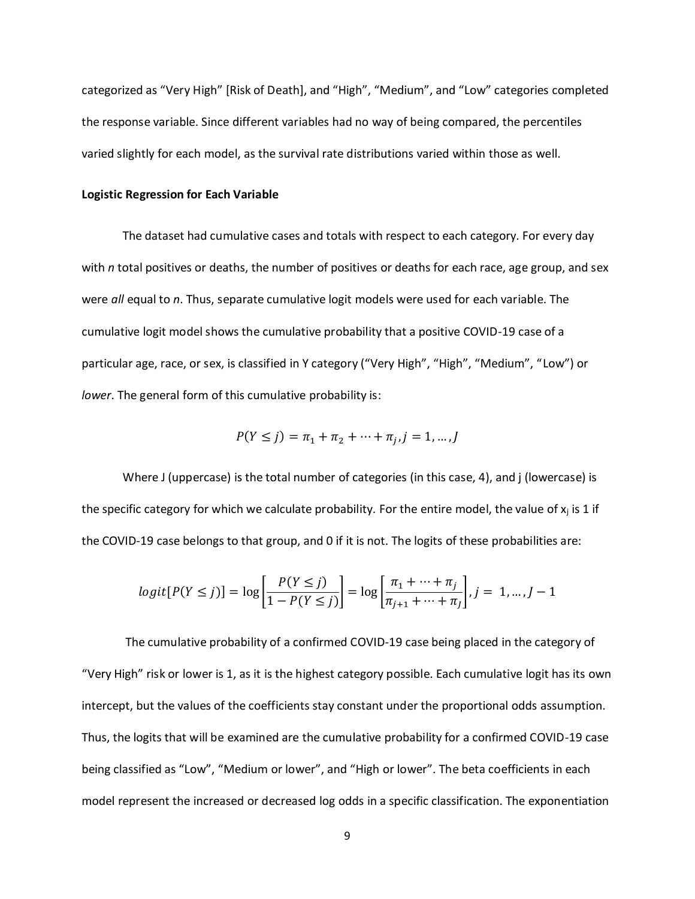categorized as "Very High" [Risk of Death], and "High", "Medium", and "Low" categories completed the response variable. Since different variables had no way of being compared, the percentiles varied slightly for each model, as the survival rate distributions varied within those as well.

#### **Logistic Regression for Each Variable**

The dataset had cumulative cases and totals with respect to each category. For every day with *n* total positives or deaths, the number of positives or deaths for each race, age group, and sex were *all* equal to *n*. Thus, separate cumulative logit models were used for each variable. The cumulative logit model shows the cumulative probability that a positive COVID-19 case of a particular age, race, or sex, is classified in Y category ("Very High", "High", "Medium", "Low") or *lower*. The general form of this cumulative probability is:

$$
P(Y \le j) = \pi_1 + \pi_2 + \dots + \pi_j, j = 1, \dots, J
$$

Where J (uppercase) is the total number of categories (in this case, 4), and j (lowercase) is the specific category for which we calculate probability. For the entire model, the value of  $x_i$  is 1 if the COVID-19 case belongs to that group, and 0 if it is not. The logits of these probabilities are:

$$
logit[P(Y \le j)] = log\left[\frac{P(Y \le j)}{1 - P(Y \le j)}\right] = log\left[\frac{\pi_1 + \dots + \pi_j}{\pi_{j+1} + \dots + \pi_j}\right], j = 1, \dots, J - 1
$$

The cumulative probability of a confirmed COVID-19 case being placed in the category of "Very High" risk or lower is 1, as it is the highest category possible. Each cumulative logit has its own intercept, but the values of the coefficients stay constant under the proportional odds assumption. Thus, the logits that will be examined are the cumulative probability for a confirmed COVID-19 case being classified as "Low", "Medium or lower", and "High or lower". The beta coefficients in each model represent the increased or decreased log odds in a specific classification. The exponentiation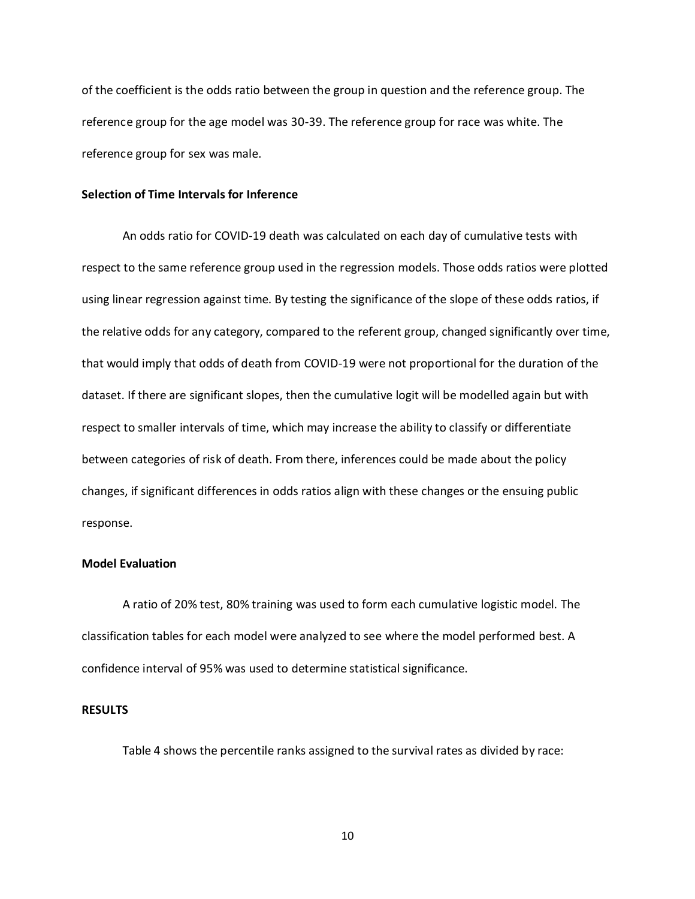of the coefficient is the odds ratio between the group in question and the reference group. The reference group for the age model was 30-39. The reference group for race was white. The reference group for sex was male.

### **Selection of Time Intervals for Inference**

An odds ratio for COVID-19 death was calculated on each day of cumulative tests with respect to the same reference group used in the regression models. Those odds ratios were plotted using linear regression against time. By testing the significance of the slope of these odds ratios, if the relative odds for any category, compared to the referent group, changed significantly over time, that would imply that odds of death from COVID-19 were not proportional for the duration of the dataset. If there are significant slopes, then the cumulative logit will be modelled again but with respect to smaller intervals of time, which may increase the ability to classify or differentiate between categories of risk of death. From there, inferences could be made about the policy changes, if significant differences in odds ratios align with these changes or the ensuing public response.

# **Model Evaluation**

A ratio of 20% test, 80% training was used to form each cumulative logistic model. The classification tables for each model were analyzed to see where the model performed best. A confidence interval of 95% was used to determine statistical significance.

#### **RESULTS**

Table 4 shows the percentile ranks assigned to the survival rates as divided by race: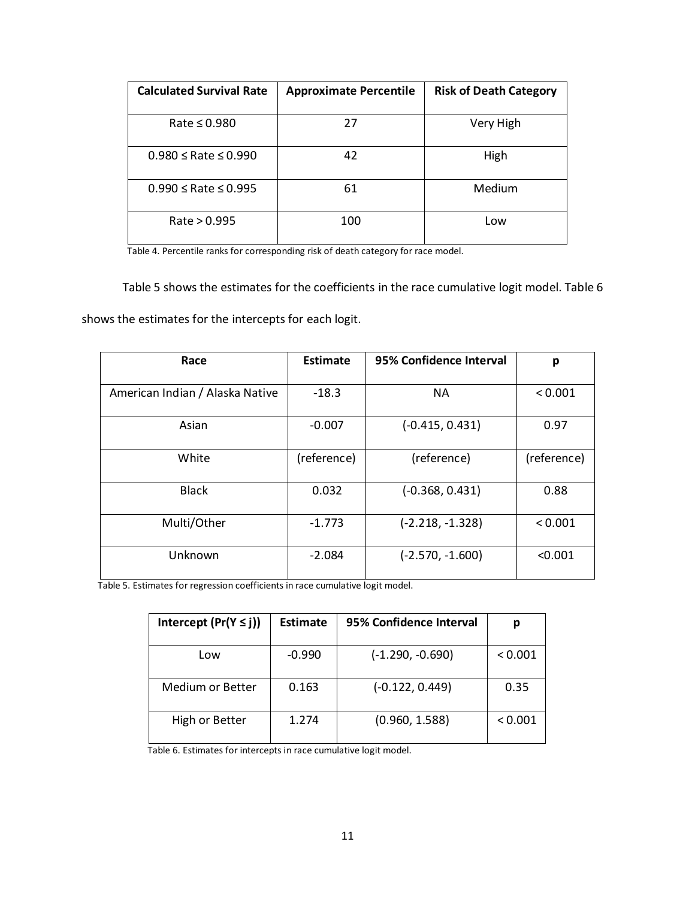| <b>Calculated Survival Rate</b> | <b>Approximate Percentile</b> | <b>Risk of Death Category</b> |
|---------------------------------|-------------------------------|-------------------------------|
| Rate $\leq 0.980$               | 27                            | Very High                     |
| $0.980 \le$ Rate $\le 0.990$    | 42                            | High                          |
| $0.990 \le$ Rate $\le 0.995$    | 61                            | Medium                        |
| Rate > 0.995                    | 100                           | Low                           |

Table 4. Percentile ranks for corresponding risk of death category for race model.

Table 5 shows the estimates for the coefficients in the race cumulative logit model. Table 6 shows the estimates for the intercepts for each logit.

| Race                            | <b>Estimate</b> | 95% Confidence Interval | р           |
|---------------------------------|-----------------|-------------------------|-------------|
| American Indian / Alaska Native | $-18.3$         | <b>NA</b>               | < 0.001     |
| Asian                           | $-0.007$        | $(-0.415, 0.431)$       | 0.97        |
| White                           | (reference)     | (reference)             | (reference) |
| <b>Black</b>                    | 0.032           | $(-0.368, 0.431)$       | 0.88        |
| Multi/Other                     | $-1.773$        | $(-2.218, -1.328)$      | < 0.001     |
| Unknown                         | $-2.084$        | $(-2.570, -1.600)$      | < 0.001     |

Table 5. Estimates for regression coefficients in race cumulative logit model.

| Intercept $(Pr(Y \le j))$ | <b>Estimate</b> | 95% Confidence Interval |         |
|---------------------------|-----------------|-------------------------|---------|
| Low                       | $-0.990$        | (-1.290, -0.690)        | < 0.001 |
| Medium or Better          | 0.163           | (-0.122, 0.449)         | 0.35    |
| High or Better            | 1.274           | (0.960, 1.588)          | < 0.001 |

Table 6. Estimates for intercepts in race cumulative logit model.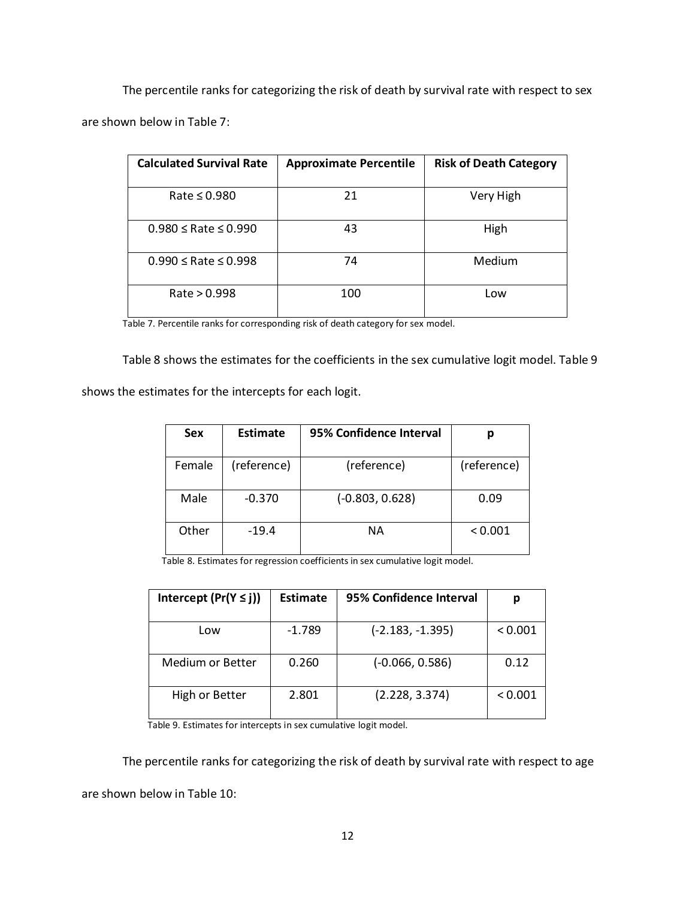The percentile ranks for categorizing the risk of death by survival rate with respect to sex are shown below in Table 7:

| <b>Calculated Survival Rate</b> | <b>Approximate Percentile</b> | <b>Risk of Death Category</b> |
|---------------------------------|-------------------------------|-------------------------------|
| Rate $\leq$ 0.980               | 21                            | Very High                     |
| $0.980 \le$ Rate $\le 0.990$    | 43                            | High                          |
| $0.990 \le$ Rate $\le 0.998$    | 74                            | Medium                        |
| Rate > 0.998                    | 100                           | Low                           |

Table 7. Percentile ranks for corresponding risk of death category for sex model.

Table 8 shows the estimates for the coefficients in the sex cumulative logit model. Table 9

shows the estimates for the intercepts for each logit.

| <b>Sex</b> | <b>Estimate</b> | 95% Confidence Interval |             |
|------------|-----------------|-------------------------|-------------|
| Female     | (reference)     | (reference)             | (reference) |
| Male       | $-0.370$        | $(-0.803, 0.628)$       | 0.09        |
| Other      | $-19.4$         | NА                      | < 0.001     |

Table 8. Estimates for regression coefficients in sex cumulative logit model.

| Intercept $(Pr(Y \leq j))$ | Estimate | 95% Confidence Interval |         |
|----------------------------|----------|-------------------------|---------|
| Low                        | $-1.789$ | $(-2.183, -1.395)$      | < 0.001 |
| <b>Medium or Better</b>    | 0.260    | $(-0.066, 0.586)$       | 0.12    |
| High or Better             | 2.801    | (2.228, 3.374)          | < 0.001 |

Table 9. Estimates for intercepts in sex cumulative logit model.

The percentile ranks for categorizing the risk of death by survival rate with respect to age are shown below in Table 10: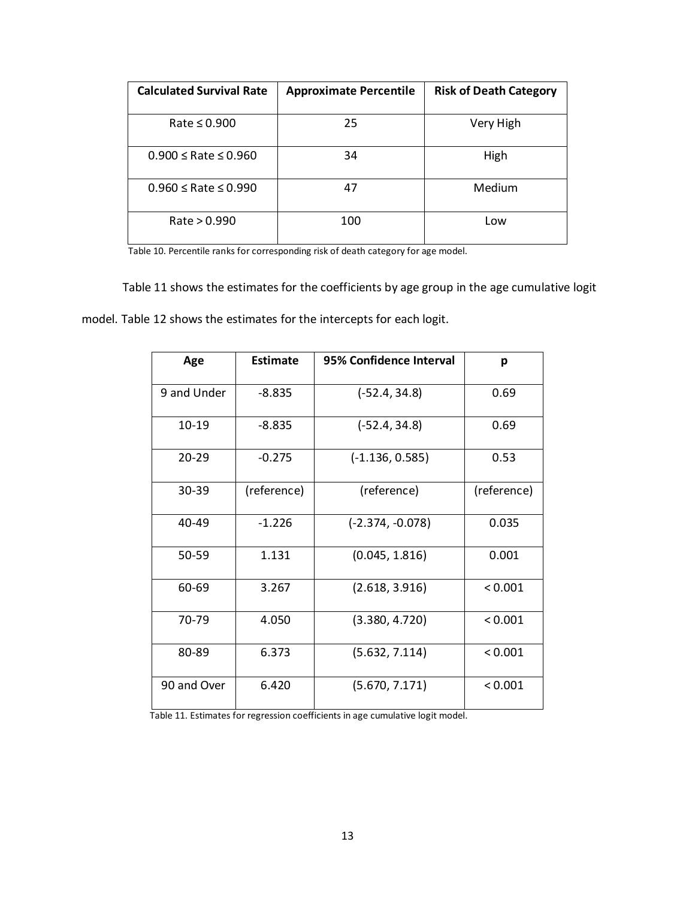| <b>Calculated Survival Rate</b> | <b>Approximate Percentile</b> | <b>Risk of Death Category</b> |
|---------------------------------|-------------------------------|-------------------------------|
| Rate $\leq 0.900$               | 25                            | Very High                     |
| $0.900 \le$ Rate $\le 0.960$    | 34                            | High                          |
| $0.960 \le$ Rate $\le 0.990$    | 47                            | Medium                        |
| Rate > 0.990                    | 100                           | Low                           |

Table 10. Percentile ranks for corresponding risk of death category for age model.

Table 11 shows the estimates for the coefficients by age group in the age cumulative logit model. Table 12 shows the estimates for the intercepts for each logit.

| Age         | Estimate    | 95% Confidence Interval | p           |
|-------------|-------------|-------------------------|-------------|
| 9 and Under | $-8.835$    | $(-52.4, 34.8)$         | 0.69        |
| 10-19       | $-8.835$    | $(-52.4, 34.8)$         | 0.69        |
| 20-29       | $-0.275$    | $(-1.136, 0.585)$       | 0.53        |
| 30-39       | (reference) | (reference)             | (reference) |
| 40-49       | $-1.226$    | $(-2.374, -0.078)$      | 0.035       |
| 50-59       | 1.131       | (0.045, 1.816)          | 0.001       |
| 60-69       | 3.267       | (2.618, 3.916)          | < 0.001     |
| 70-79       | 4.050       | (3.380, 4.720)          | < 0.001     |
| 80-89       | 6.373       | (5.632, 7.114)          | < 0.001     |
| 90 and Over | 6.420       | (5.670, 7.171)          | < 0.001     |

Table 11. Estimates for regression coefficients in age cumulative logit model.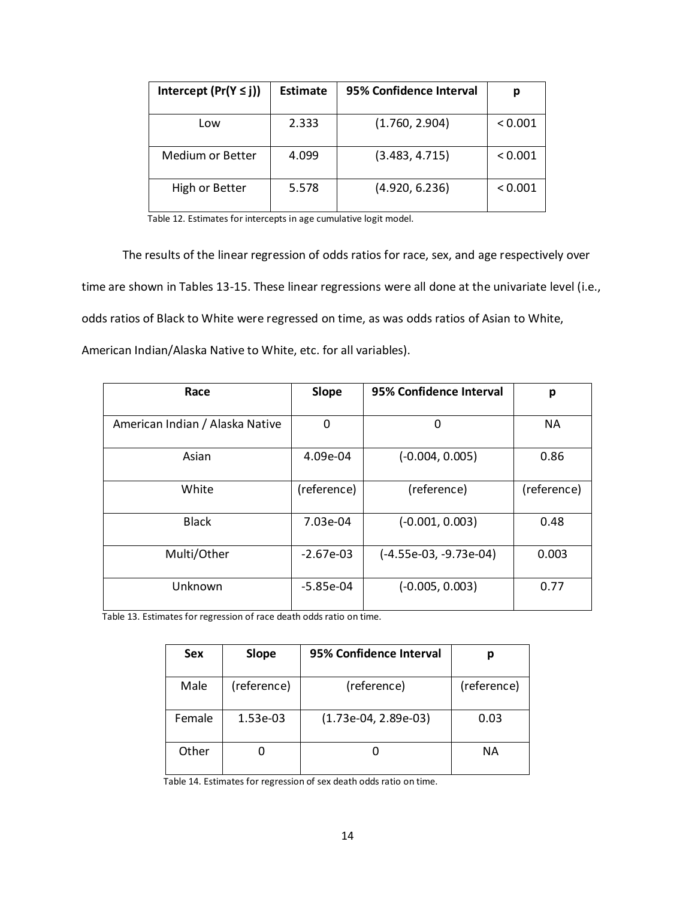| Intercept $(Pr(Y \le j))$ | Estimate | 95% Confidence Interval |         |
|---------------------------|----------|-------------------------|---------|
|                           |          |                         |         |
| Low                       | 2.333    | (1.760, 2.904)          | < 0.001 |
|                           |          |                         |         |
| Medium or Better          | 4.099    | (3.483, 4.715)          | < 0.001 |
|                           |          |                         |         |
|                           |          |                         |         |
| High or Better            | 5.578    | (4.920, 6.236)          | < 0.001 |
|                           |          |                         |         |

Table 12. Estimates for intercepts in age cumulative logit model.

The results of the linear regression of odds ratios for race, sex, and age respectively over time are shown in Tables 13-15. These linear regressions were all done at the univariate level (i.e., odds ratios of Black to White were regressed on time, as was odds ratios of Asian to White, American Indian/Alaska Native to White, etc. for all variables).

| Race                            | Slope       | 95% Confidence Interval  | р           |
|---------------------------------|-------------|--------------------------|-------------|
| American Indian / Alaska Native | 0           | 0                        | <b>NA</b>   |
|                                 |             |                          |             |
| Asian                           | 4.09e-04    | $(-0.004, 0.005)$        | 0.86        |
| White                           | (reference) | (reference)              | (reference) |
| <b>Black</b>                    | 7.03e-04    | $(-0.001, 0.003)$        | 0.48        |
| Multi/Other                     | $-2.67e-03$ | $(-4.55e-03, -9.73e-04)$ | 0.003       |
| Unknown                         | $-5.85e-04$ | $(-0.005, 0.003)$        | 0.77        |

Table 13. Estimates for regression of race death odds ratio on time.

| <b>Sex</b> | Slope       | 95% Confidence Interval |             |
|------------|-------------|-------------------------|-------------|
| Male       | (reference) | (reference)             | (reference) |
| Female     | 1.53e-03    | $(1.73e-04, 2.89e-03)$  | 0.03        |
| Other      |             |                         | NА          |

Table 14. Estimates for regression of sex death odds ratio on time.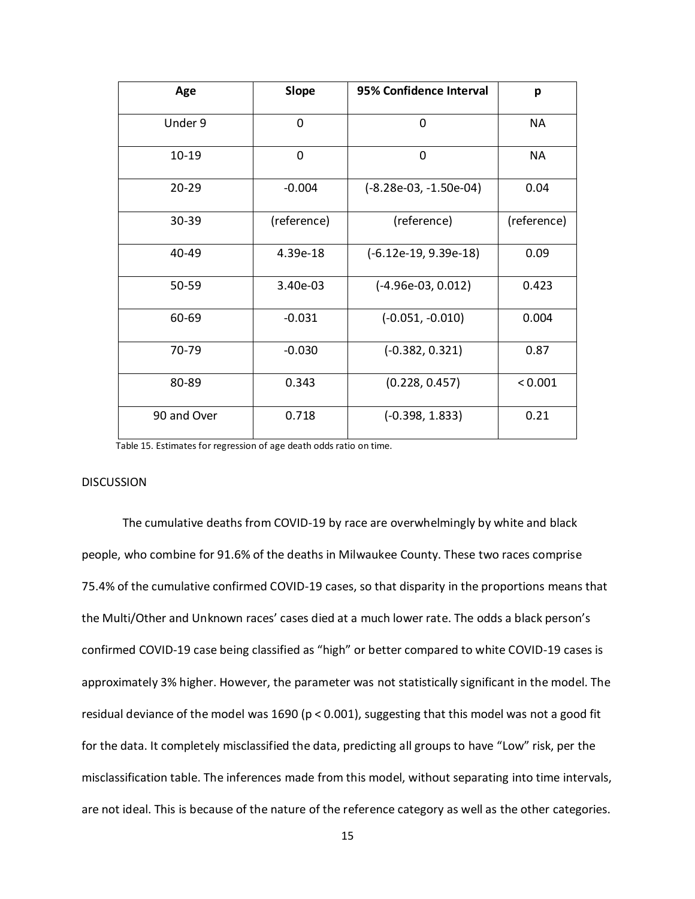| Age         | <b>Slope</b> | 95% Confidence Interval  | p           |
|-------------|--------------|--------------------------|-------------|
| Under 9     | 0            | 0                        | NA          |
| $10-19$     | 0            | 0                        | <b>NA</b>   |
| $20 - 29$   | $-0.004$     | $(-8.28e-03, -1.50e-04)$ | 0.04        |
| 30-39       | (reference)  | (reference)              | (reference) |
| 40-49       | 4.39e-18     | $(-6.12e-19, 9.39e-18)$  | 0.09        |
| 50-59       | 3.40e-03     | $(-4.96e-03, 0.012)$     | 0.423       |
| 60-69       | $-0.031$     | $(-0.051, -0.010)$       | 0.004       |
| 70-79       | $-0.030$     | $(-0.382, 0.321)$        | 0.87        |
| 80-89       | 0.343        | (0.228, 0.457)           | < 0.001     |
| 90 and Over | 0.718        | $(-0.398, 1.833)$        | 0.21        |

Table 15. Estimates for regression of age death odds ratio on time.

#### DISCUSSION

The cumulative deaths from COVID-19 by race are overwhelmingly by white and black people, who combine for 91.6% of the deaths in Milwaukee County. These two races comprise 75.4% of the cumulative confirmed COVID-19 cases, so that disparity in the proportions means that the Multi/Other and Unknown races' cases died at a much lower rate. The odds a black person's confirmed COVID-19 case being classified as "high" or better compared to white COVID-19 cases is approximately 3% higher. However, the parameter was not statistically significant in the model. The residual deviance of the model was 1690 (p < 0.001), suggesting that this model was not a good fit for the data. It completely misclassified the data, predicting all groups to have "Low" risk, per the misclassification table. The inferences made from this model, without separating into time intervals, are not ideal. This is because of the nature of the reference category as well as the other categories.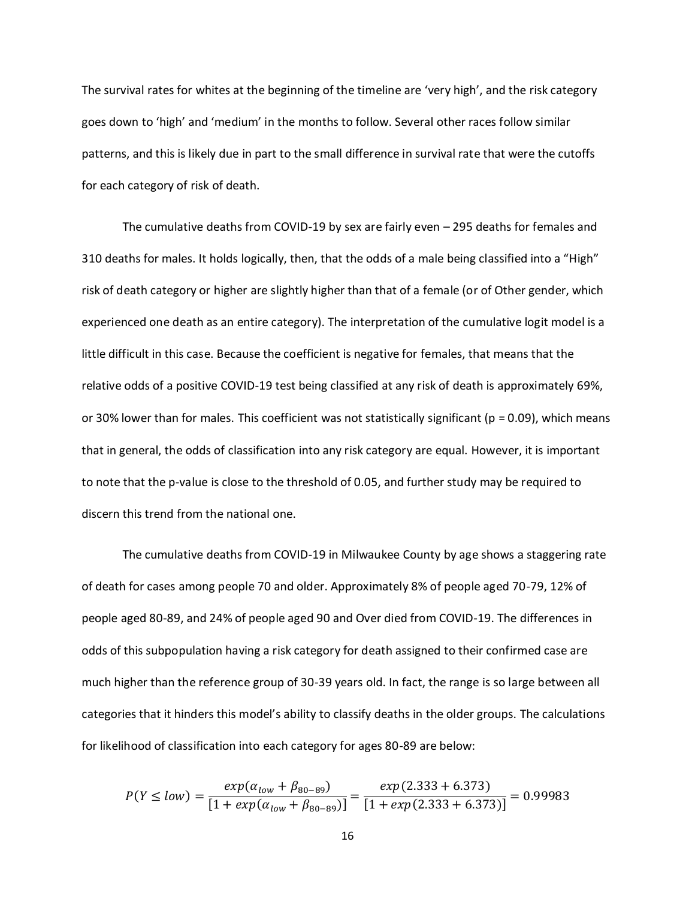The survival rates for whites at the beginning of the timeline are 'very high', and the risk category goes down to 'high' and 'medium' in the months to follow. Several other races follow similar patterns, and this is likely due in part to the small difference in survival rate that were the cutoffs for each category of risk of death.

The cumulative deaths from COVID-19 by sex are fairly even – 295 deaths for females and 310 deaths for males. It holds logically, then, that the odds of a male being classified into a "High" risk of death category or higher are slightly higher than that of a female (or of Other gender, which experienced one death as an entire category). The interpretation of the cumulative logit model is a little difficult in this case. Because the coefficient is negative for females, that means that the relative odds of a positive COVID-19 test being classified at any risk of death is approximately 69%, or 30% lower than for males. This coefficient was not statistically significant ( $p = 0.09$ ), which means that in general, the odds of classification into any risk category are equal. However, it is important to note that the p-value is close to the threshold of 0.05, and further study may be required to discern this trend from the national one.

The cumulative deaths from COVID-19 in Milwaukee County by age shows a staggering rate of death for cases among people 70 and older. Approximately 8% of people aged 70-79, 12% of people aged 80-89, and 24% of people aged 90 and Over died from COVID-19. The differences in odds of this subpopulation having a risk category for death assigned to their confirmed case are much higher than the reference group of 30-39 years old. In fact, the range is so large between all categories that it hinders this model's ability to classify deaths in the older groups. The calculations for likelihood of classification into each category for ages 80-89 are below:

$$
P(Y \le low) = \frac{exp(\alpha_{low} + \beta_{80-89})}{[1 + exp(\alpha_{low} + \beta_{80-89})]} = \frac{exp(2.333 + 6.373)}{[1 + exp(2.333 + 6.373)]} = 0.99983
$$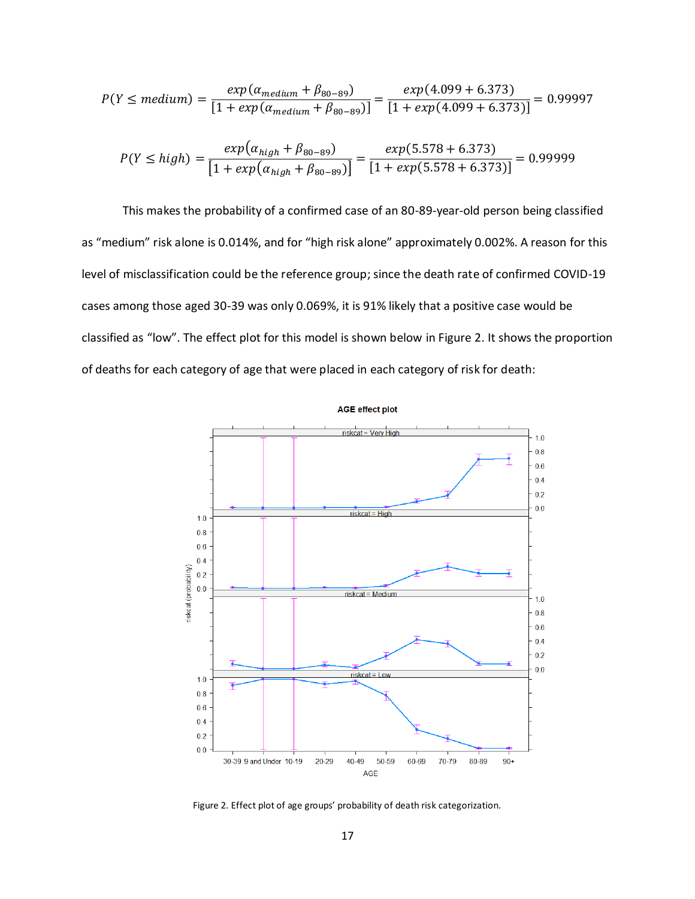$$
P(Y \le medium) = \frac{exp(\alpha_{medium} + \beta_{80-89})}{[1 + exp(\alpha_{medium} + \beta_{80-89})]} = \frac{exp(4.099 + 6.373)}{[1 + exp(4.099 + 6.373)]} = 0.99997
$$

$$
P(Y \le high) = \frac{exp(\alpha_{high} + \beta_{80-89})}{[1 + exp(\alpha_{high} + \beta_{80-89})]} = \frac{exp(5.578 + 6.373)}{[1 + exp(5.578 + 6.373)]} = 0.99999
$$

This makes the probability of a confirmed case of an 80-89-year-old person being classified as "medium" risk alone is 0.014%, and for "high risk alone" approximately 0.002%. A reason for this level of misclassification could be the reference group; since the death rate of confirmed COVID-19 cases among those aged 30-39 was only 0.069%, it is 91% likely that a positive case would be classified as "low". The effect plot for this model is shown below in Figure 2. It shows the proportion of deaths for each category of age that were placed in each category of risk for death:



Figure 2. Effect plot of age groups' probability of death risk categorization.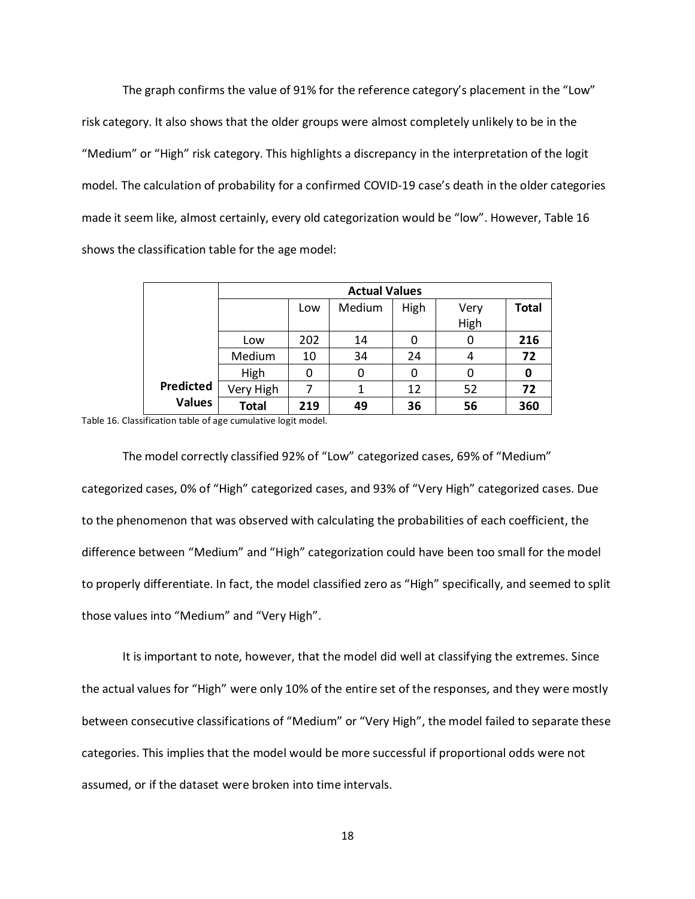The graph confirms the value of 91% for the reference category's placement in the "Low" risk category. It also shows that the older groups were almost completely unlikely to be in the "Medium" or "High" risk category. This highlights a discrepancy in the interpretation of the logit model. The calculation of probability for a confirmed COVID-19 case's death in the older categories made it seem like, almost certainly, every old categorization would be "low". However, Table 16 shows the classification table for the age model:

|               | <b>Actual Values</b> |     |        |      |      |              |
|---------------|----------------------|-----|--------|------|------|--------------|
|               |                      | Low | Medium | High | Very | <b>Total</b> |
|               |                      |     |        |      | High |              |
|               | Low                  | 202 | 14     | 0    | O    | 216          |
|               | Medium               | 10  | 34     | 24   | 4    | 72           |
|               | High                 | 0   | 0      | 0    | 0    | 0            |
| Predicted     | Very High            | 7   |        | 12   | 52   | 72           |
| <b>Values</b> | <b>Total</b>         | 219 | 49     | 36   | 56   | 360          |

Table 16. Classification table of age cumulative logit model.

The model correctly classified 92% of "Low" categorized cases, 69% of "Medium" categorized cases, 0% of "High" categorized cases, and 93% of "Very High" categorized cases. Due to the phenomenon that was observed with calculating the probabilities of each coefficient, the difference between "Medium" and "High" categorization could have been too small for the model to properly differentiate. In fact, the model classified zero as "High" specifically, and seemed to split those values into "Medium" and "Very High".

It is important to note, however, that the model did well at classifying the extremes. Since the actual values for "High" were only 10% of the entire set of the responses, and they were mostly between consecutive classifications of "Medium" or "Very High", the model failed to separate these categories. This implies that the model would be more successful if proportional odds were not assumed, or if the dataset were broken into time intervals.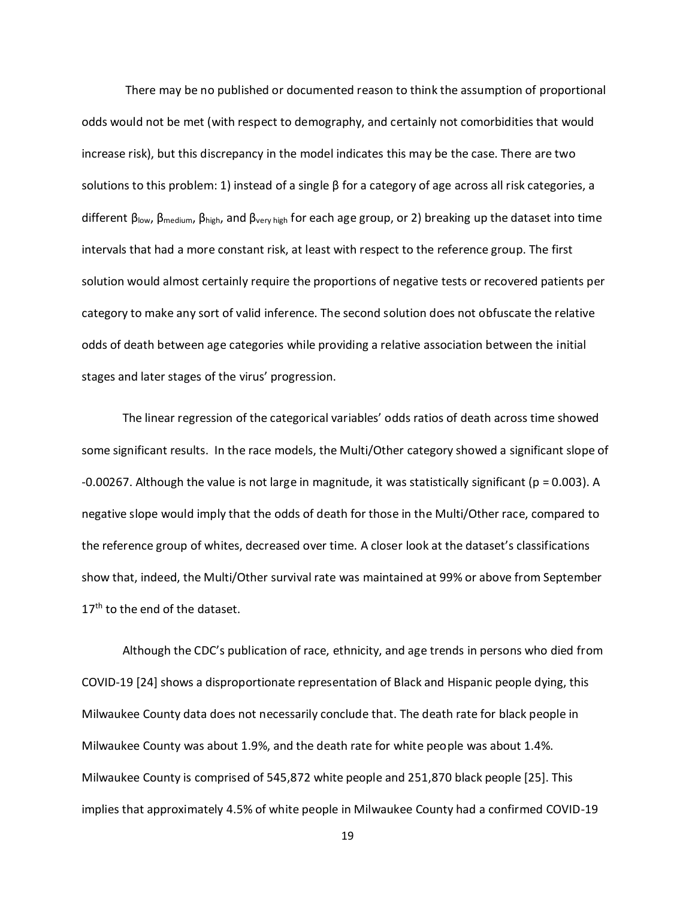There may be no published or documented reason to think the assumption of proportional odds would not be met (with respect to demography, and certainly not comorbidities that would increase risk), but this discrepancy in the model indicates this may be the case. There are two solutions to this problem: 1) instead of a single  $\beta$  for a category of age across all risk categories, a different βlow, βmedium, βhigh, and βvery high for each age group, or 2) breaking up the dataset into time intervals that had a more constant risk, at least with respect to the reference group. The first solution would almost certainly require the proportions of negative tests or recovered patients per category to make any sort of valid inference. The second solution does not obfuscate the relative odds of death between age categories while providing a relative association between the initial stages and later stages of the virus' progression.

The linear regression of the categorical variables' odds ratios of death across time showed some significant results. In the race models, the Multi/Other category showed a significant slope of -0.00267. Although the value is not large in magnitude, it was statistically significant ( $p = 0.003$ ). A negative slope would imply that the odds of death for those in the Multi/Other race, compared to the reference group of whites, decreased over time. A closer look at the dataset's classifications show that, indeed, the Multi/Other survival rate was maintained at 99% or above from September 17<sup>th</sup> to the end of the dataset.

Although the CDC's publication of race, ethnicity, and age trends in persons who died from COVID-19 [24] shows a disproportionate representation of Black and Hispanic people dying, this Milwaukee County data does not necessarily conclude that. The death rate for black people in Milwaukee County was about 1.9%, and the death rate for white people was about 1.4%. Milwaukee County is comprised of 545,872 white people and 251,870 black people [25]. This implies that approximately 4.5% of white people in Milwaukee County had a confirmed COVID-19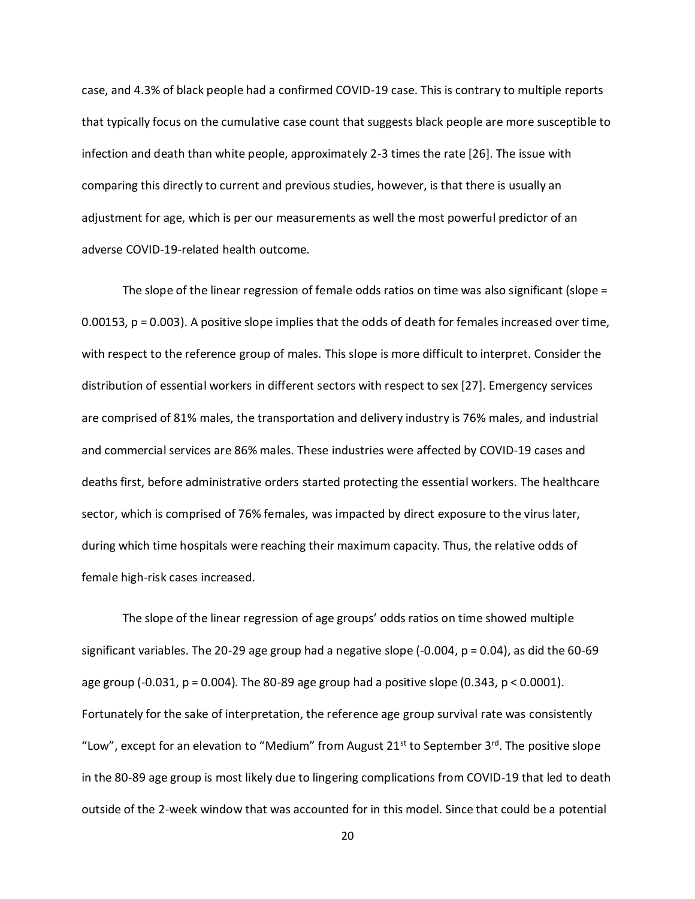case, and 4.3% of black people had a confirmed COVID-19 case. This is contrary to multiple reports that typically focus on the cumulative case count that suggests black people are more susceptible to infection and death than white people, approximately 2-3 times the rate [26]. The issue with comparing this directly to current and previous studies, however, is that there is usually an adjustment for age, which is per our measurements as well the most powerful predictor of an adverse COVID-19-related health outcome.

The slope of the linear regression of female odds ratios on time was also significant (slope = 0.00153, p = 0.003). A positive slope implies that the odds of death for females increased over time, with respect to the reference group of males. This slope is more difficult to interpret. Consider the distribution of essential workers in different sectors with respect to sex [27]. Emergency services are comprised of 81% males, the transportation and delivery industry is 76% males, and industrial and commercial services are 86% males. These industries were affected by COVID-19 cases and deaths first, before administrative orders started protecting the essential workers. The healthcare sector, which is comprised of 76% females, was impacted by direct exposure to the virus later, during which time hospitals were reaching their maximum capacity. Thus, the relative odds of female high-risk cases increased.

The slope of the linear regression of age groups' odds ratios on time showed multiple significant variables. The 20-29 age group had a negative slope  $(-0.004, p = 0.04)$ , as did the 60-69 age group  $(-0.031, p = 0.004)$ . The 80-89 age group had a positive slope  $(0.343, p < 0.0001)$ . Fortunately for the sake of interpretation, the reference age group survival rate was consistently "Low", except for an elevation to "Medium" from August 21<sup>st</sup> to September 3<sup>rd</sup>. The positive slope in the 80-89 age group is most likely due to lingering complications from COVID-19 that led to death outside of the 2-week window that was accounted for in this model. Since that could be a potential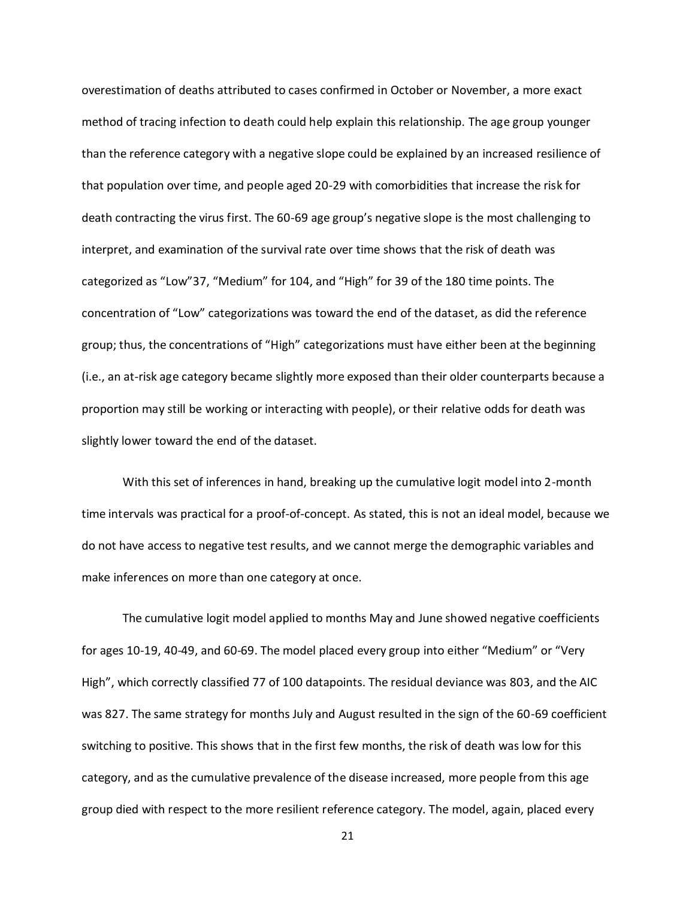overestimation of deaths attributed to cases confirmed in October or November, a more exact method of tracing infection to death could help explain this relationship. The age group younger than the reference category with a negative slope could be explained by an increased resilience of that population over time, and people aged 20-29 with comorbidities that increase the risk for death contracting the virus first. The 60-69 age group's negative slope is the most challenging to interpret, and examination of the survival rate over time shows that the risk of death was categorized as "Low"37, "Medium" for 104, and "High" for 39 of the 180 time points. The concentration of "Low" categorizations was toward the end of the dataset, as did the reference group; thus, the concentrations of "High" categorizations must have either been at the beginning (i.e., an at-risk age category became slightly more exposed than their older counterparts because a proportion may still be working or interacting with people), or their relative odds for death was slightly lower toward the end of the dataset.

With this set of inferences in hand, breaking up the cumulative logit model into 2-month time intervals was practical for a proof-of-concept. As stated, this is not an ideal model, because we do not have access to negative test results, and we cannot merge the demographic variables and make inferences on more than one category at once.

The cumulative logit model applied to months May and June showed negative coefficients for ages 10-19, 40-49, and 60-69. The model placed every group into either "Medium" or "Very High", which correctly classified 77 of 100 datapoints. The residual deviance was 803, and the AIC was 827. The same strategy for months July and August resulted in the sign of the 60-69 coefficient switching to positive. This shows that in the first few months, the risk of death was low for this category, and as the cumulative prevalence of the disease increased, more people from this age group died with respect to the more resilient reference category. The model, again, placed every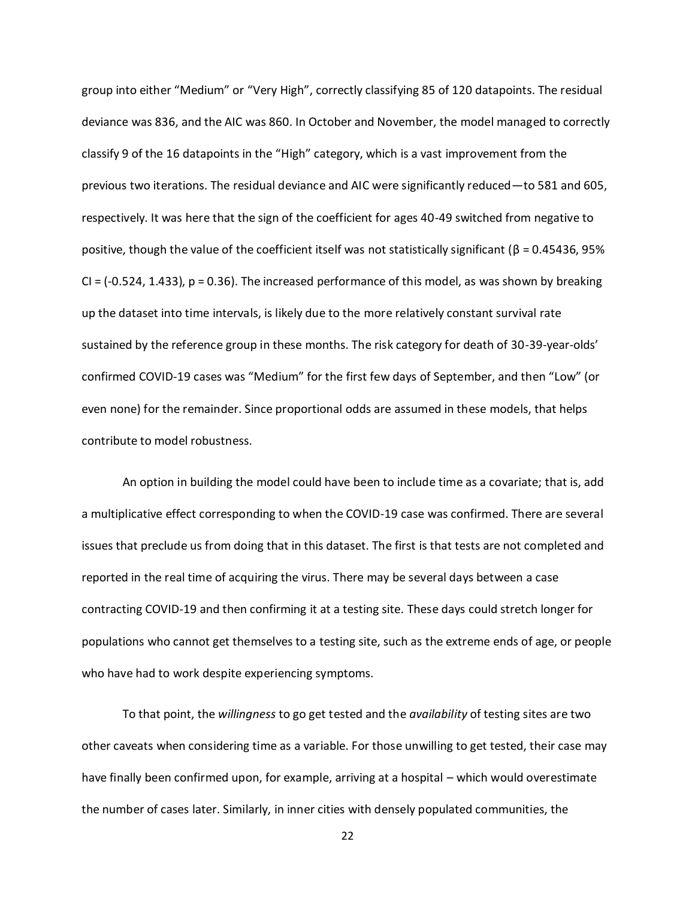group into either "Medium" or "Very High", correctly classifying 85 of 120 datapoints. The residual deviance was 836, and the AIC was 860. In October and November, the model managed to correctly classify 9 of the 16 datapoints in the "High" category, which is a vast improvement from the previous two iterations. The residual deviance and AIC were significantly reduced—to 581 and 605, respectively. It was here that the sign of the coefficient for ages 40-49 switched from negative to positive, though the value of the coefficient itself was not statistically significant (β = 0.45436, 95%  $Cl = (-0.524, 1.433)$ ,  $p = 0.36$ . The increased performance of this model, as was shown by breaking up the dataset into time intervals, is likely due to the more relatively constant survival rate sustained by the reference group in these months. The risk category for death of 30-39-year-olds' confirmed COVID-19 cases was "Medium" for the first few days of September, and then "Low" (or even none) for the remainder. Since proportional odds are assumed in these models, that helps contribute to model robustness.

An option in building the model could have been to include time as a covariate; that is, add a multiplicative effect corresponding to when the COVID-19 case was confirmed. There are several issues that preclude us from doing that in this dataset. The first is that tests are not completed and reported in the real time of acquiring the virus. There may be several days between a case contracting COVID-19 and then confirming it at a testing site. These days could stretch longer for populations who cannot get themselves to a testing site, such as the extreme ends of age, or people who have had to work despite experiencing symptoms.

To that point, the *willingness* to go get tested and the *availability* of testing sites are two other caveats when considering time as a variable. For those unwilling to get tested, their case may have finally been confirmed upon, for example, arriving at a hospital – which would overestimate the number of cases later. Similarly, in inner cities with densely populated communities, the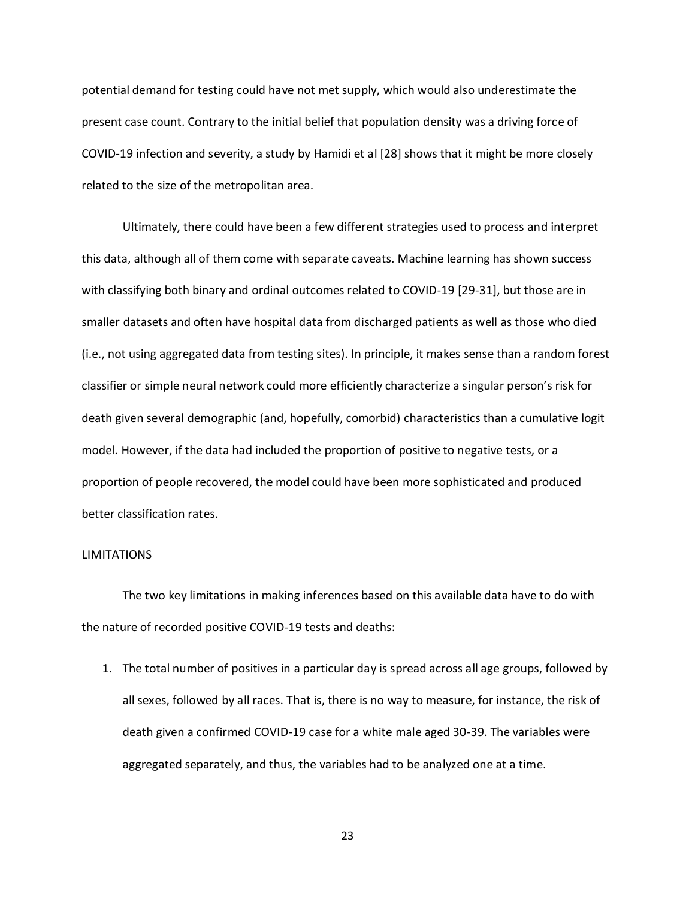potential demand for testing could have not met supply, which would also underestimate the present case count. Contrary to the initial belief that population density was a driving force of COVID-19 infection and severity, a study by Hamidi et al [28] shows that it might be more closely related to the size of the metropolitan area.

Ultimately, there could have been a few different strategies used to process and interpret this data, although all of them come with separate caveats. Machine learning has shown success with classifying both binary and ordinal outcomes related to COVID-19 [29-31], but those are in smaller datasets and often have hospital data from discharged patients as well as those who died (i.e., not using aggregated data from testing sites). In principle, it makes sense than a random forest classifier or simple neural network could more efficiently characterize a singular person's risk for death given several demographic (and, hopefully, comorbid) characteristics than a cumulative logit model. However, if the data had included the proportion of positive to negative tests, or a proportion of people recovered, the model could have been more sophisticated and produced better classification rates.

#### LIMITATIONS

The two key limitations in making inferences based on this available data have to do with the nature of recorded positive COVID-19 tests and deaths:

1. The total number of positives in a particular day is spread across all age groups, followed by all sexes, followed by all races. That is, there is no way to measure, for instance, the risk of death given a confirmed COVID-19 case for a white male aged 30-39. The variables were aggregated separately, and thus, the variables had to be analyzed one at a time.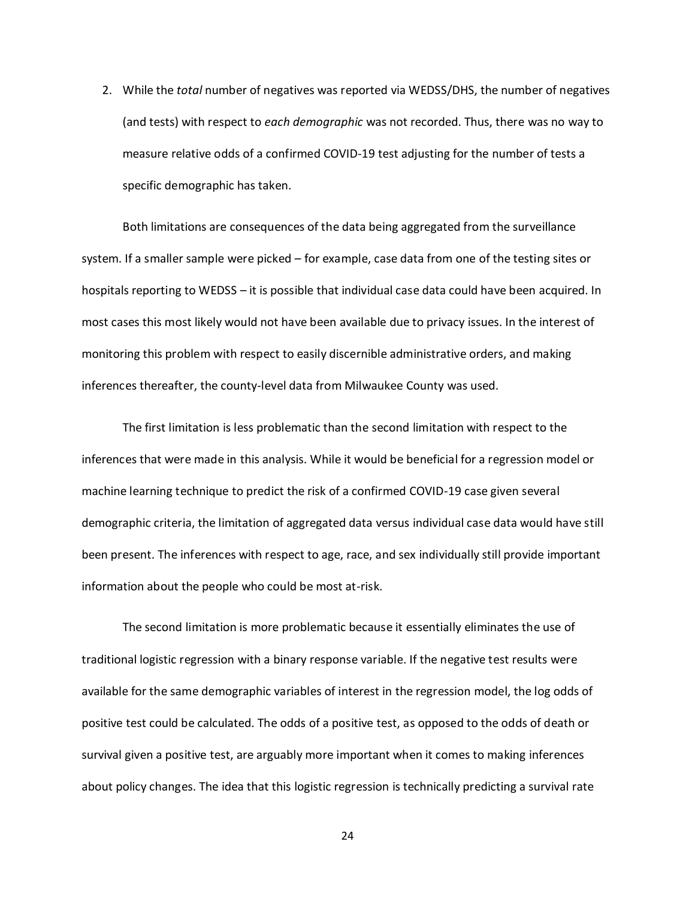2. While the *total* number of negatives was reported via WEDSS/DHS, the number of negatives (and tests) with respect to *each demographic* was not recorded. Thus, there was no way to measure relative odds of a confirmed COVID-19 test adjusting for the number of tests a specific demographic has taken.

Both limitations are consequences of the data being aggregated from the surveillance system. If a smaller sample were picked – for example, case data from one of the testing sites or hospitals reporting to WEDSS – it is possible that individual case data could have been acquired. In most cases this most likely would not have been available due to privacy issues. In the interest of monitoring this problem with respect to easily discernible administrative orders, and making inferences thereafter, the county-level data from Milwaukee County was used.

The first limitation is less problematic than the second limitation with respect to the inferences that were made in this analysis. While it would be beneficial for a regression model or machine learning technique to predict the risk of a confirmed COVID-19 case given several demographic criteria, the limitation of aggregated data versus individual case data would have still been present. The inferences with respect to age, race, and sex individually still provide important information about the people who could be most at-risk.

The second limitation is more problematic because it essentially eliminates the use of traditional logistic regression with a binary response variable. If the negative test results were available for the same demographic variables of interest in the regression model, the log odds of positive test could be calculated. The odds of a positive test, as opposed to the odds of death or survival given a positive test, are arguably more important when it comes to making inferences about policy changes. The idea that this logistic regression is technically predicting a survival rate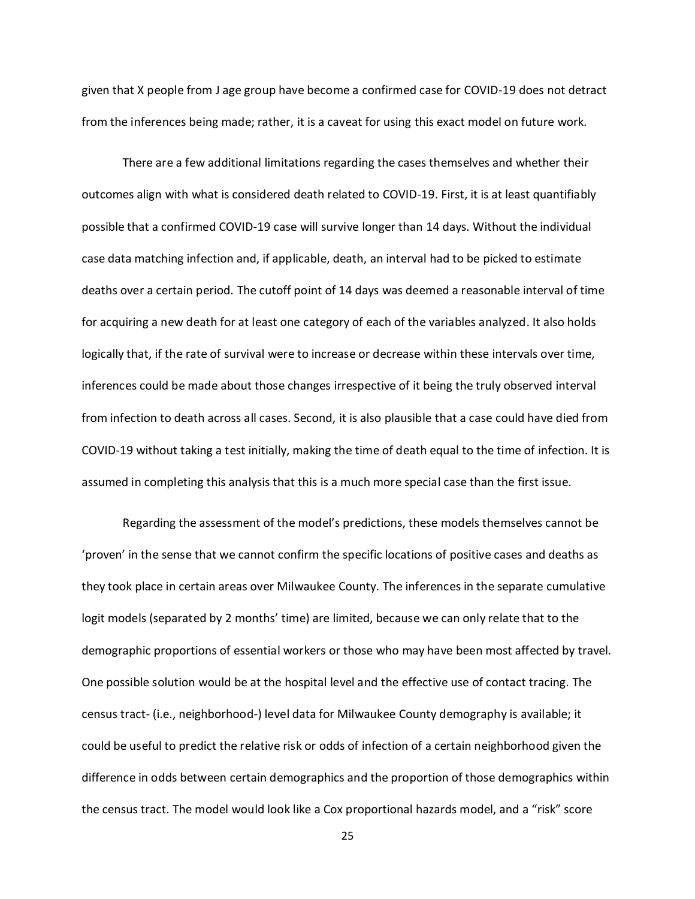given that X people from J age group have become a confirmed case for COVID-19 does not detract from the inferences being made; rather, it is a caveat for using this exact model on future work.

There are a few additional limitations regarding the cases themselves and whether their outcomes align with what is considered death related to COVID-19. First, it is at least quantifiably possible that a confirmed COVID-19 case will survive longer than 14 days. Without the individual case data matching infection and, if applicable, death, an interval had to be picked to estimate deaths over a certain period. The cutoff point of 14 days was deemed a reasonable interval of time for acquiring a new death for at least one category of each of the variables analyzed. It also holds logically that, if the rate of survival were to increase or decrease within these intervals over time, inferences could be made about those changes irrespective of it being the truly observed interval from infection to death across all cases. Second, it is also plausible that a case could have died from COVID-19 without taking a test initially, making the time of death equal to the time of infection. It is assumed in completing this analysis that this is a much more special case than the first issue.

Regarding the assessment of the model's predictions, these models themselves cannot be 'proven' in the sense that we cannot confirm the specific locations of positive cases and deaths as they took place in certain areas over Milwaukee County. The inferences in the separate cumulative logit models (separated by 2 months' time) are limited, because we can only relate that to the demographic proportions of essential workers or those who may have been most affected by travel. One possible solution would be at the hospital level and the effective use of contact tracing. The census tract- (i.e., neighborhood-) level data for Milwaukee County demography is available; it could be useful to predict the relative risk or odds of infection of a certain neighborhood given the difference in odds between certain demographics and the proportion of those demographics within the census tract. The model would look like a Cox proportional hazards model, and a "risk" score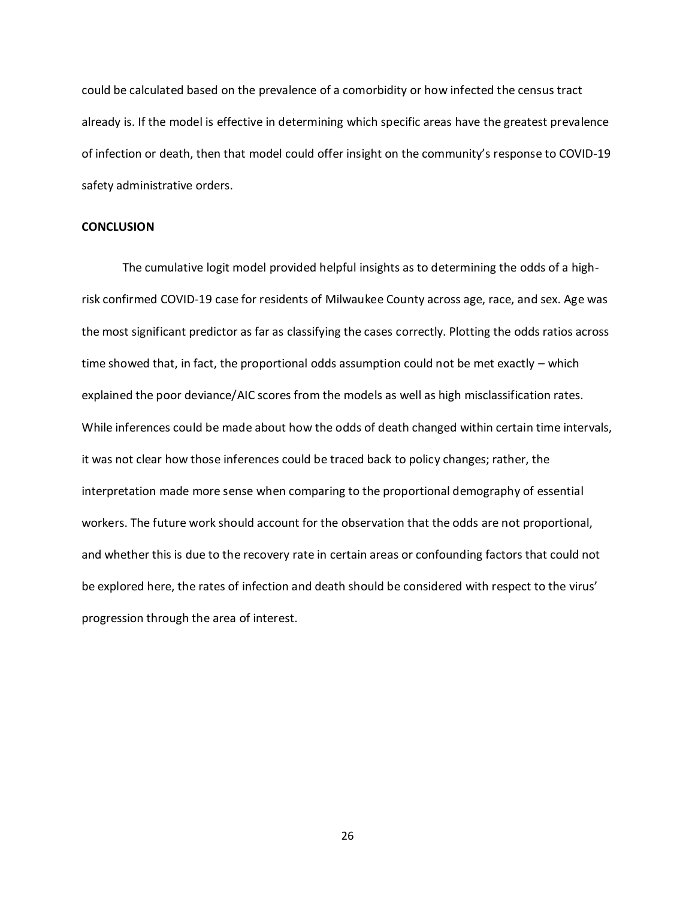could be calculated based on the prevalence of a comorbidity or how infected the census tract already is. If the model is effective in determining which specific areas have the greatest prevalence of infection or death, then that model could offer insight on the community's response to COVID-19 safety administrative orders.

# **CONCLUSION**

The cumulative logit model provided helpful insights as to determining the odds of a highrisk confirmed COVID-19 case for residents of Milwaukee County across age, race, and sex. Age was the most significant predictor as far as classifying the cases correctly. Plotting the odds ratios across time showed that, in fact, the proportional odds assumption could not be met exactly – which explained the poor deviance/AIC scores from the models as well as high misclassification rates. While inferences could be made about how the odds of death changed within certain time intervals, it was not clear how those inferences could be traced back to policy changes; rather, the interpretation made more sense when comparing to the proportional demography of essential workers. The future work should account for the observation that the odds are not proportional, and whether this is due to the recovery rate in certain areas or confounding factors that could not be explored here, the rates of infection and death should be considered with respect to the virus' progression through the area of interest.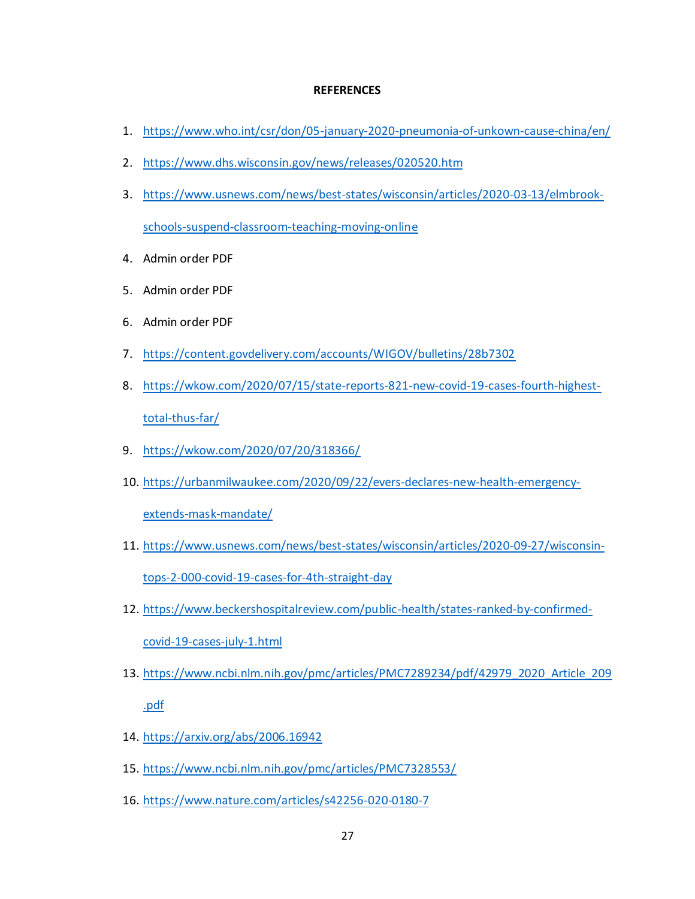# **REFERENCES**

- 1. <https://www.who.int/csr/don/05-january-2020-pneumonia-of-unkown-cause-china/en/>
- 2. <https://www.dhs.wisconsin.gov/news/releases/020520.htm>
- 3. [https://www.usnews.com/news/best-states/wisconsin/articles/2020-03-13/elmbrook](https://www.usnews.com/news/best-states/wisconsin/articles/2020-03-13/elmbrook-schools-suspend-classroom-teaching-moving-online)[schools-suspend-classroom-teaching-moving-online](https://www.usnews.com/news/best-states/wisconsin/articles/2020-03-13/elmbrook-schools-suspend-classroom-teaching-moving-online)
- 4. Admin order PDF
- 5. Admin order PDF
- 6. Admin order PDF
- 7. <https://content.govdelivery.com/accounts/WIGOV/bulletins/28b7302>
- 8. [https://wkow.com/2020/07/15/state-reports-821-new-covid-19-cases-fourth-highest](https://wkow.com/2020/07/15/state-reports-821-new-covid-19-cases-fourth-highest-total-thus-far/)[total-thus-far/](https://wkow.com/2020/07/15/state-reports-821-new-covid-19-cases-fourth-highest-total-thus-far/)
- 9. <https://wkow.com/2020/07/20/318366/>
- 10. [https://urbanmilwaukee.com/2020/09/22/evers-declares-new-health-emergency-](https://urbanmilwaukee.com/2020/09/22/evers-declares-new-health-emergency-extends-mask-mandate/)

[extends-mask-mandate/](https://urbanmilwaukee.com/2020/09/22/evers-declares-new-health-emergency-extends-mask-mandate/)

- 11. [https://www.usnews.com/news/best-states/wisconsin/articles/2020-09-27/wisconsin](https://www.usnews.com/news/best-states/wisconsin/articles/2020-09-27/wisconsin-tops-2-000-covid-19-cases-for-4th-straight-day)[tops-2-000-covid-19-cases-for-4th-straight-day](https://www.usnews.com/news/best-states/wisconsin/articles/2020-09-27/wisconsin-tops-2-000-covid-19-cases-for-4th-straight-day)
- 12. [https://www.beckershospitalreview.com/public-health/states-ranked-by-confirmed](https://www.beckershospitalreview.com/public-health/states-ranked-by-confirmed-covid-19-cases-july-1.html)[covid-19-cases-july-1.html](https://www.beckershospitalreview.com/public-health/states-ranked-by-confirmed-covid-19-cases-july-1.html)
- 13. [https://www.ncbi.nlm.nih.gov/pmc/articles/PMC7289234/pdf/42979\\_2020\\_Article\\_209](https://www.ncbi.nlm.nih.gov/pmc/articles/PMC7289234/pdf/42979_2020_Article_209.pdf) [.pdf](https://www.ncbi.nlm.nih.gov/pmc/articles/PMC7289234/pdf/42979_2020_Article_209.pdf)
- 14. <https://arxiv.org/abs/2006.16942>
- 15. <https://www.ncbi.nlm.nih.gov/pmc/articles/PMC7328553/>
- 16. <https://www.nature.com/articles/s42256-020-0180-7>